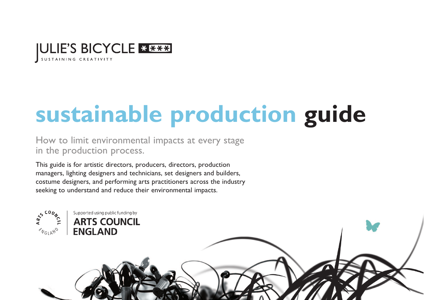

Supported using public funding by **ARTS COUNCIL** 

**ENGLAND** 

# **sustainable production guide**

How to limit environmental impacts at every stage in the production process.

This guide is for artistic directors, producers, directors, production managers, lighting designers and technicians, set designers and builders, costume designers, and performing arts practitioners across the industry seeking to understand and reduce their environmental impacts.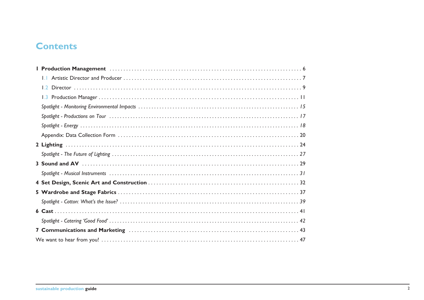# **Contents**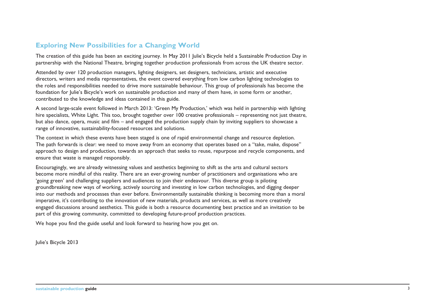### **Exploring New Possibilities for a Changing World**

The creation of this guide has been an exciting journey. In May 2011 Julie's Bicycle held a Sustainable Production Day in partnership with the National Theatre, bringing together production professionals from across the UK theatre sector.

Attended by over 120 production managers, lighting designers, set designers, technicians, artistic and executive directors, writers and media representatives, the event covered everything from low carbon lighting technologies to the roles and responsibilities needed to drive more sustainable behaviour. This group of professionals has become the foundation for Julie's Bicycle's work on sustainable production and many of them have, in some form or another, contributed to the knowledge and ideas contained in this guide.

A second large-scale event followed in March 2013: 'Green My Production,' which was held in partnership with lighting hire specialists, White Light. This too, brought together over 100 creative professionals – representing not just theatre, but also dance, opera, music and film – and engaged the production supply chain by inviting suppliers to showcase a range of innovative, sustainability-focused resources and solutions.

The context in which these events have been staged is one of rapid environmental change and resource depletion. The path forwards is clear: we need to move away from an economy that operates based on a "take, make, dispose" approach to design and production, towards an approach that seeks to reuse, repurpose and recycle components, and ensure that waste is managed responsibly.

Encouragingly, we are already witnessing values and aesthetics beginning to shift as the arts and cultural sectors become more mindful of this reality. There are an ever-growing number of practitioners and organisations who are 'going green' and challenging suppliers and audiences to join their endeavour. This diverse group is piloting groundbreaking new ways of working, actively sourcing and investing in low carbon technologies, and digging deeper into our methods and processes than ever before. Environmentally sustainable thinking is becoming more than a moral imperative, it's contributing to the innovation of new materials, products and services, as well as more creatively engaged discussions around aesthetics. This guide is both a resource documenting best practice and an invitation to be part of this growing community, committed to developing future-proof production practices.

We hope you find the guide useful and look forward to hearing how you get on.

Julie's Bicycle 2013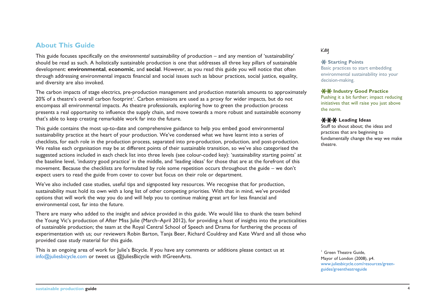### **About This Guide**

This guide focuses specifically on the *environmental* sustainability of production – and any mention of 'sustainability' should be read as such. A holistically sustainable production is one that addresses all three key pillars of sustainable development: **environmental**, **economic**, and **social**. However, as you read this guide you will notice that often through addressing environmental impacts financial and social issues such as labour practices, social justice, equality, and diversity are also invoked.

The carbon impacts of stage electrics, pre-production management and production materials amounts to approximately 20% of a theatre's overall carbon footprint'. Carbon emissions are used as a proxy for wider impacts, but do not encompass all environmental impacts. As theatre professionals, exploring how to green the production process presents a real opportunity to influence the supply chain, and move towards a more robust and sustainable economy that's able to keep creating remarkable work far into the future.

This guide contains the most up-to-date and comprehensive guidance to help you embed good environmental sustainability practice at the heart of your production. We've condensed what we have learnt into a series of checklists, for each role in the production process, separated into pre-production, production, and post-production. We realise each organisation may be at different points of their sustainable transition, so we've also categorised the suggested actions included in each check list into three levels (see colour-coded key): 'sustainability starting points' at the baseline level, 'industry good practice' in the middle, and 'leading ideas' for those that are at the forefront of this movement. Because the checklists are formulated by role some repetition occurs throughout the guide – we don't expect users to read the guide from cover to cover but focus on their role or department.

We've also included case studies, useful tips and signposted key resources. We recognise that for production, sustainability must hold its own with a long list of other competing priorities. With that in mind, we've provided options that will work the way you do and will help you to continue making great art for less financial and environmental cost, far into the future.

There are many who added to the insight and advice provided in this guide. We would like to thank the team behind the Young Vic's production of After Miss Julie (March–April 2012), for providing a host of insights into the practicalities of sustainable production; the team at the Royal Central School of Speech and Drama for furthering the process of experimentation with us; our reviewers Robin Barton, Tanja Beer, Richard Couldrey and Kate Ward and all those who provided case study material for this guide.

This is an ongoing area of work for Julie's Bicycle. If you have any comments or additions please contact us at info@juliesbicycle.com or tweet us @JuliesBicycle with #GreenArts.

#### **Key**

#### **X** Starting Points

Basic practices to start embedding environmental sustainability into your decision-making.

#### **XX Industry Good Practice**

Pushing it a bit further; impact reducing initiatives that will raise you just above the norm.

#### **Leading Ideas**

Stuff to shout about; the ideas and practices that are beginning to fundamentally change the way we make theatre.

<sup>1</sup> Green Theatre Guide. Mayor of London (2008), p4. [www.juliesbicycle.com/resources/green](www.juliesbicycle.com/resources/green-guides/greentheatreguide)[guides/greentheatreguide](www.juliesbicycle.com/resources/green-guides/greentheatreguide)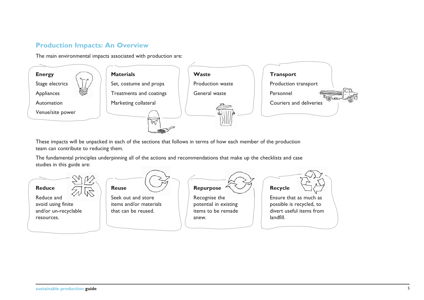# **Production Impacts: An Overview**

The main environmental impacts associated with production are:



These impacts will be unpacked in each of the sections that follows in terms of how each member of the production team can contribute to reducing them.

The fundamental principles underpinning all of the actions and recommendations that make up the checklists and case studies in this guide are:

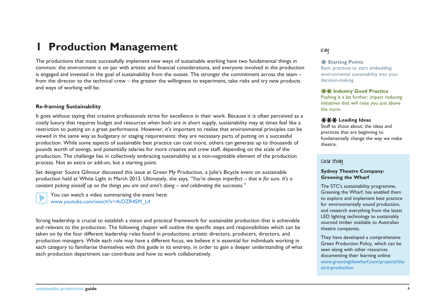# **1 Production Management**

The productions that most successfully implement new ways of sustainable working have two fundamental things in common: the environment is on par with artistic and financial considerations, and everyone involved in the production is engaged and invested in the goal of sustainability from the outset. The stronger the commitment across the team – from the director to the technical crew – the greater the willingness to experiment, take risks and try new products and ways of working will be.

#### **Re-framing Sustainability**

It goes without saying that creative professionals strive for excellence in their work. Because it is often perceived as a costly luxury that requires budget and resources when both are in short supply, sustainability may at times feel like a restriction to putting on a great performance. However, it's important to realise that environmental principles can be viewed in the same way as budgetary or staging requirements: they are necessary parts of putting on a successful production. While some aspects of sustainable best practice can cost more, others can generate up to thousands of pounds worth of savings, and potentially salaries for more creative and crew staff, depending on the scale of the production. The challenge lies in collectively embracing sustainability as a non-negotiable element of the production process. Not an extra or add-on, but a starting point.

Set designer Soutra Gilmour discussed this issue at Green My Production, a Julie's Bicycle event on sustainable production held at White Light in March 2013. Ultimately, she says, *"You're always imperfect – that is for sure. It's a constant picking oneself up on the things you are and aren't doing – and celebrating the successes."*



You can watch a video summarising the event here: www.youtube.com/watch?v=4vDZR4SM\_L4

Strong leadership is crucial to establish a vision and practical framework for sustainable production that is achievable and relevant to the production. The following chapter will outline the specific steps and responsibilities which can be taken on by the four different leadership roles found in productions: artistic directors, producers, directors, and production managers. While each role may have a different focus, we believe it is essential for individuals working in each category to familiarise themselves with this guide in its entirety, in order to gain a deeper understanding of what each production department can contribute and how to work collaboratively.

#### **Key**

#### **X** Starting Points

Basic practices to start embedding environmental sustainability into your decision-making.

#### **XX Industry Good Practice**

Pushing it a bit further; impact reducing initiatives that will raise you just above the norm.

#### **XXX Leading Ideas**

Stuff to shout about; the ideas and practices that are beginning to fundamentally change the way we make theatre.

#### **Case study**

#### **Sydney Theatre Company: Greening the Wharf**

The STC's sustainability programme, Greening the Wharf, has enabled them to explore and implement best practice for environmentally sound production, and research everything from the latest LED lighting technology to sustainably sourced timber available to Australian theatre companies.

They have developed a comprehensive Green Production Policy, which can be seen along with other resources documenting their learning online: [www.greeningthewharf.com/projects/the](www.greeningthewharf.com/projects/theatre-production) [atre-production](www.greeningthewharf.com/projects/theatre-production)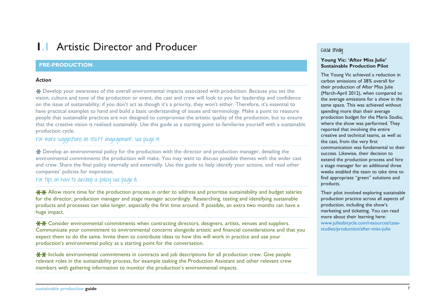# **1.1 Artistic Director and Producer**

#### **PRE-PRODUCTION**

#### *Action*

Develop your awareness of the overall environmental impacts associated with production. Because you set the vision, culture and tone of the production or event, the cast and crew will look to you for leadership and confidence on the issue of sustainability; if you don't act as though it's a priority, they won't either. Therefore, it's essential to have practical examples to hand and build a basic understanding of issues and terminology. Make a point to reassure people that sustainable practices are not designed to compromise the artistic quality of the production, but to ensure that the creative vision is realised sustainably. Use this guide as a starting point to familiarise yourself with a sustainable production cycle.

### **For more suggestions on staff engagement, see page 14.**

Develop an environmental policy for the production with the director and production manager, detailing the environmental commitments the production will make. You may want to discuss possible themes with the wider cast and crew. Share the final policy internally and externally. Use this guide to help identify your actions, and read other companies' policies for inspiration.

#### **For tips on how to develop a policy see page 8.**

**XX** Allow more time for the production process in order to address and prioritise sustainability and budget salaries for the director, production manager and stage manager accordingly. Researching, testing and identifying sustainable products and processes can take longer, especially the first time around. If possible, an extra two months can have a huge impact.

**\*\*** Consider environmental commitments when contracting directors, designers, artists, venues and suppliers. Communicate your commitment to environmental concerns alongside artistic and financial considerations and that you expect them to do the same. Invite them to contribute ideas to how this will work in practice and use your production's environmental policy as a starting point for the conversation.

<del>XX</del> Include environmental commitments in contracts and job descriptions for all production crew. Give people relevant roles in the sustainability process, for example tasking the Production Assistant and other relevant crew members with gathering information to monitor the production's environmental impacts.

#### **Case study**

#### **Young Vic: 'After Miss Julie' Sustainable Production Pilot**

The Young Vic achieved a reduction in carbon emissions of 38% overall for their production of After Miss Julie (March-April 2012), when compared to the average emissions for a show in the same space. This was achieved without spending more than their average production budget for the Maria Studio, where the show was performed. They reported that involving the entire creative and technical teams, as well as the cast, from the very first communication was fundamental to their success. Likewise, their decision to extend the production process and hire a stage manager for an additional three weeks enabled the team to take time to find appropriate "green" solutions and products.

Their pilot involved exploring sustainable production practice across all aspects of production, including the show's marketing and ticketing. You can read more about their learning here: [www.juliesbicycle.com/resources/case](www.juliesbicycle.com/resources/case-studies/production/after-miss-julie)[studies/production/after-miss-julie](www.juliesbicycle.com/resources/case-studies/production/after-miss-julie)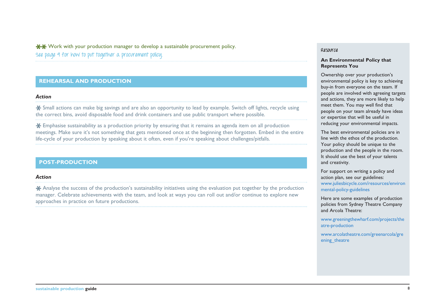$*$  $*$  Work with your production manager to develop a sustainable procurement policy. **See page 9 for how to put together a procurement policy.** 

#### **REHEARSAL AND PRODUCTION**

#### *Action*

Small actions can make big savings and are also an opportunity to lead by example. Switch off lights, recycle using the correct bins, avoid disposable food and drink containers and use public transport where possible.

Emphasise sustainability as a production priority by ensuring that it remains an agenda item on all production meetings. Make sure it's not something that gets mentioned once at the beginning then forgotten. Embed in the entire life-cycle of your production by speaking about it often, even if you're speaking about challenges/pitfalls.

#### **POST-PRODUCTION**

#### *Action*

\* Analyse the success of the production's sustainability initiatives using the evaluation put together by the production manager. Celebrate achievements with the team, and look at ways you can roll out and/or continue to explore new approaches in practice on future productions.

#### **Resource**

#### **An Environmental Policy that Represents You**

Ownership over your production's environmental policy is key to achieving buy-in from everyone on the team. If people are involved with agreeing targets and actions, they are more likely to help meet them. You may well find that people on your team already have ideas or expertise that will be useful in reducing your environmental impacts.

The best environmental policies are in line with the ethos of the production. Your policy should be unique to the production and the people in the room. It should use the best of your talents and creativity.

For support on writing a policy and action plan, see our guidelines: [www.juliesbicycle.com/resources/environ](www.juliesbicycle.com/resources/environmental-policy-guidelines%20) [mental-policy-guidelines](www.juliesbicycle.com/resources/environmental-policy-guidelines%20) 

Here are some examples of production policies from Sydney Theatre Company and Arcola Theatre:

[www.greeningthewharf.com/projects/the](www.greeningthewharf.com/projects/theatre-production%20) [atre-production](www.greeningthewharf.com/projects/theatre-production%20) 

[www.arcolatheatre.com/greenarcola/gre](www.arcolatheatre.com/greenarcola/greening_theatre%20) ening theatre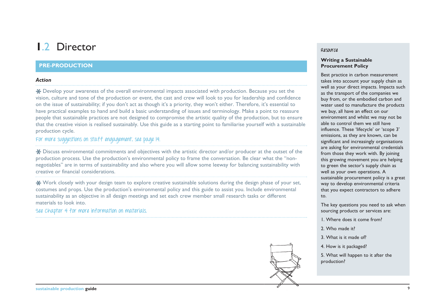# **1**.2 Director

#### **PRE-PRODUCTION**

#### *Action*

Develop your awareness of the overall environmental impacts associated with production. Because you set the vision, culture and tone of the production or event, the cast and crew will look to you for leadership and confidence on the issue of sustainability; if you don't act as though it's a priority, they won't either. Therefore, it's essential to have practical examples to hand and build a basic understanding of issues and terminology. Make a point to reassure people that sustainable practices are not designed to compromise the artistic quality of the production, but to ensure that the creative vision is realised sustainably. Use this guide as a starting point to familiarise yourself with a sustainable production cycle.

### **For more suggestions on staff engagement, see page 14.**

\* Discuss environmental commitments and objectives with the artistic director and/or producer at the outset of the production process. Use the production's environmental policy to frame the conversation. Be clear what the "nonnegotiables" are in terms of sustainability and also where you will allow some leeway for balancing sustainability with creative or financial considerations.

Work closely with your design team to explore creative sustainable solutions during the design phase of your set, costumes and props. Use the production's environmental policy and this guide to assist you. Include environmental sustainability as an objective in all design meetings and set each crew member small research tasks or different materials to look into.

**See Chapter 4 for more information on materials.**



#### **Writing a Sustainable Procurement Policy**

Best practice in carbon measurement takes into account your supply chain as well as your direct impacts. Impacts such as the transport of the companies we buy from, or the embodied carbon and water used to manufacture the products we buy, all have an effect on our environment and whilst we may not be able to control them we still have influence. These 'lifecycle' or 'scope 3' emissions, as they are known, can be significant and increasingly organisations are asking for environmental credentials from those they work with. By joining this growing movement you are helping to green the sector's supply chain as well as your own operations. A sustainable procurement policy is a great way to develop environmental criteria that you expect contractors to adhere to.

The key questions you need to ask when sourcing products or services are:

- 1. Where does it come from?
- 2. Who made it?
- 3. What is it made of?
- 4. How is it packaged?

5. What will happen to it after the production?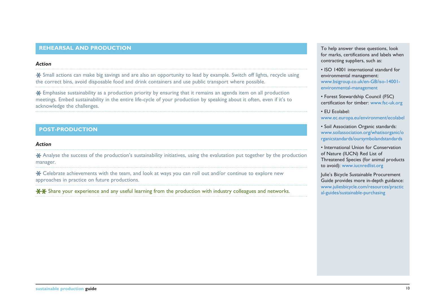#### **REHEARSAL AND PRODUCTION The Second Study of the Second Study and Study and Study and To help answer these questions, look**

#### *Action*

Small actions can make big savings and are also an opportunity to lead by example. Switch off lights, recycle using the correct bins, avoid disposable food and drink containers and use public transport where possible.

Emphasise sustainability as a production priority by ensuring that it remains an agenda item on all production meetings. Embed sustainability in the entire life-cycle of your production by speaking about it often, even if it's to acknowledge the challenges.

#### **POST-PRODUCTION**

#### *Action*

Analyse the success of the production's sustainability initiatives, using the evalutation put together by the production manager.

Celebrate achievements with the team, and look at ways you can roll out and/or continue to explore new approaches in practice on future productions.

 $**$  Share your experience and any useful learning from the production with industry colleagues and networks.

for marks, certifications and labels when contracting suppliers, such as:

• ISO 14001 international standard for environmental management: [www.bsigroup.co.uk/en-GB/iso-14001](www.bsigroup.co.uk/en-GB/iso-14001-environmental-management) [environmental-management](www.bsigroup.co.uk/en-GB/iso-14001-environmental-management)

• Forest Stewardship Council (FSC) certification for timber: www.fsc-uk.org

• EU Ecolabel: <www.ec.europa.eu/environment/ecolabel>

• Soil Association Organic standards: [www.soilassociation.org/whatisorganic/o](www.soilassociation.org/whatisorganic/organicstandards/oursymbolandstandards) [rganicstandards/oursymbolandstandards](www.soilassociation.org/whatisorganic/organicstandards/oursymbolandstandards)

• International Union for Conservation of Nature (IUCN) Red List of Threatened Species (for animal products to avoid):<www.iucnredlist.org>

Julie's Bicycle Sustainable Procurement Guide provides more in-depth guidance: [www.juliesbicycle.com/resources/practic](www.juliesbicycle.com/resources/practical-guides/sustainable-purchasing) [al-guides/sustainable-purchasing](www.juliesbicycle.com/resources/practical-guides/sustainable-purchasing)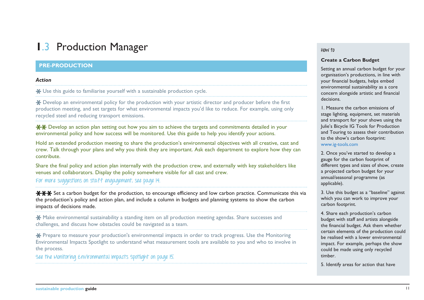# **1**.3 Production Manager

#### **PRE-PRODUCTION**

#### *Action*

Use this guide to familiarise yourself with a sustainable production cycle.

Develop an environmental policy for the production with your artistic director and producer before the first production meeting, and set targets for what environmental impacts you'd like to reduce. For example, using only recycled steel and reducing transport emissions.

<del> $\star$  $\star$ </del> Develop an action plan setting out how you aim to achieve the targets and commitments detailed in your environmental policy and how success will be monitored. Use this guide to help you identify your actions.

Hold an extended production meeting to share the production's environmental objectives with all creative, cast and crew. Talk through your plans and why you think they are important. Ask each department to explore how they can contribute.

Share the final policy and action plan internally with the production crew, and externally with key stakeholders like venues and collaborators. Display the policy somewhere visible for all cast and crew.

**For more suggestions on staff engagement, see page 14.**

<del>XXX</del> Set a carbon budget for the production, to encourage efficiency and low carbon practice. Communicate this via the production's policy and action plan, and include a column in budgets and planning systems to show the carbon impacts of decisions made.

**X** Make environmental sustainability a standing item on all production meeting agendas. Share successes and challenges, and discuss how obstacles could be navigated as a team.

\* Prepare to measure your production's environmental impacts in order to track progress. Use the Monitoring Environmental Impacts Spotlight to understand what measurement tools are available to you and who to involve in the process.

**See the Monitoring Environmental Impacts Spotlight on page 15.** 

#### **How to**

#### **Create a Carbon Budget**

Setting an annual carbon budget for your organisation's productions, in line with your financial budgets, helps embed environmental sustainability as a core concern alongside artistic and financial decisions.

1. Measure the carbon emissions of stage lighting, equipment, set materials and transport for your shows using the Julie's Bicycle IG Tools for Production and Touring to assess their contribution to the show's carbon footprint: www.ig-tools.com

2. Once you've started to develop a gauge for the carbon footprint of different types and sizes of show, create a projected carbon budget for your annual/seasonal programme (as applicable).

3. Use this budget as a "baseline" against which you can work to improve your carbon footprint.

4. Share each production's carbon budget with staff and artists alongside the financial budget. Ask them whether certain elements of the production could be realised with a lower environmental impact. For example, perhaps the show could be made using only recycled timber.

5. Identify areas for action that have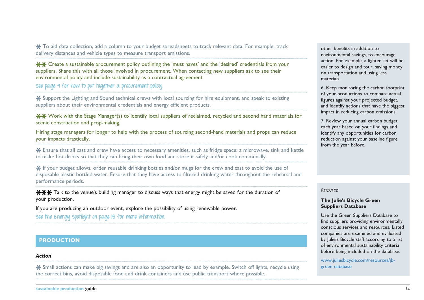\* To aid data collection, add a column to your budget spreadsheets to track relevant data. For example, track delivery distances and vehicle types to measure transport emissions.

Create a sustainable procurement policy outlining the 'must haves' and the 'desired' credentials from your suppliers. Share this with all those involved in procurement. When contacting new suppliers ask to see their environmental policy and include sustainability as a contractual agreement.

**See page 9 for how to put together a procurement policy.**

Support the Lighting and Sound technical crews with local sourcing for hire equipment, and speak to existing suppliers about their environmental credentials and energy efficient products.

 $*$  $*$  Work with the Stage Manager(s) to identify local suppliers of reclaimed, recycled and second hand materials for scenic construction and prop-making.

Hiring stage managers for longer to help with the process of sourcing second-hand materials and props can reduce your impacts drastically.

Ensure that all cast and crew have access to necessary amenities, such as fridge space, a microwave, sink and kettle to make hot drinks so that they can bring their own food and store it safely and/or cook communally.

<del>¥</del> If your budget allows, order reusable drinking bottles and/or mugs for the crew and cast to avoid the use of disposable plastic bottled water. Ensure that they have access to filtered drinking water throughout the rehearsal and performance periods.

**\*\*\*** Talk to the venue's building manager to discuss ways that energy might be saved for the duration of your production.

If you are producing an outdoor event, explore the possibility of using renewable power.

**See the Energy Spotlight on page 18 for more information.**

#### **PRODUCTION**

#### *Action*

Small actions can make big savings and are also an opportunity to lead by example. Switch off lights, recycle using the correct bins, avoid disposable food and drink containers and use public transport where possible.

other benefits in addition to environmental savings, to encourage action. For example, a lighter set will be easier to design and tour, saving money on transportation and using less materials.

6. Keep monitoring the carbon footprint of your productions to compare actual figures against your projected budget, and identify actions that have the biggest impact in reducing carbon emissions.

7. Review your annual carbon budget each year based on your findings and identify any opportunities for carbon reduction against your baseline figure from the year before.

#### **Resource**

#### **The Julie's Bicycle Green Suppliers Database**

Use the Green Suppliers Database to find suppliers providing environmentally conscious services and resources. Listed companies are examined and evaluated by Julie's Bicycle staff according to a list of environmental sustainability criteria before being included on the database.

[www.juliesbicycle.com/resources/jb](www.juliesbicycle.com/resources/jb-green-database%20)[green-database](www.juliesbicycle.com/resources/jb-green-database%20)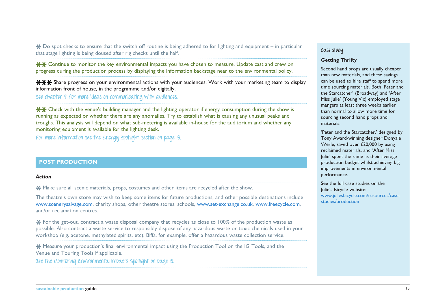$\clubsuit$  Do spot checks to ensure that the switch off routine is being adhered to for lighting and equipment – in particular that stage lighting is being doused after rig checks until the half.

 $\star$  $\star$  Continue to monitor the key environmental impacts you have chosen to measure. Update cast and crew on progress during the production process by displaying the information backstage near to the environmental policy.

**\*\*\*** Share progress on your environmental actions with your audiences. Work with your marketing team to display information front of house, in the programme and/or digitally.

**See chapter 7 for more ideas on communicating with audiences.**

 $*$  $*$  Check with the venue's building manager and the lighting operator if energy consumption during the show is running as expected or whether there are any anomalies. Try to establish what is causing any unusual peaks and troughs. This analysis will depend on what sub-metering is available in-house for the auditorium and whether any monitoring equipment is available for the lighting desk.

**For more information see the Energy Spotlight section on page 18.** 

#### **POST PRODUCTION**

#### *Action*

Make sure all scenic materials, props, costumes and other items are recycled after the show.

The theatre's own store may wish to keep some items for future productions, and other possible destinations include www.scenerysalvage.com, charity shops, other theatre stores, schools, www.set-exchange.co.uk, www.freecycle.com, and/or reclamation centres.

For the get-out, contract a waste disposal company that recycles as close to 100% of the production waste as possible. Also contract a waste service to responsibly dispose of any hazardous waste or toxic chemicals used in your workshop (e.g. acetone, methylated spirits, etc). Biffa, for example, offer a hazardous waste collection service.

**X** Measure your production's final environmental impact using the Production Tool on the IG Tools, and the Venue and Touring Tools if applicable.

**See the Monitoring Environmental Impacts Spotlight on page 15.** 

#### **Case study**

#### **Getting Thrifty**

Second hand props are usually cheaper than new materials, and these savings can be used to hire staff to spend more time sourcing materials. Both 'Peter and the Starcatcher' (Broadway) and 'After Miss Julie' (Young Vic) employed stage mangers at least three weeks earlier than normal to allow more time for sourcing second hand props and materials.

'Peter and the Starcatcher,' designed by Tony Award-winning designer Donyale Werle, saved over £20,000 by using reclaimed materials, and 'After Miss Julie' spent the same as their average production budget whilst achieving big improvements in environmental performance.

See the full case studies on the Julie's Bicycle website: [www.juliesbicycle.com/resources/case](www.juliesbicycle.com/resources/case-studies/production)[studies/production](www.juliesbicycle.com/resources/case-studies/production)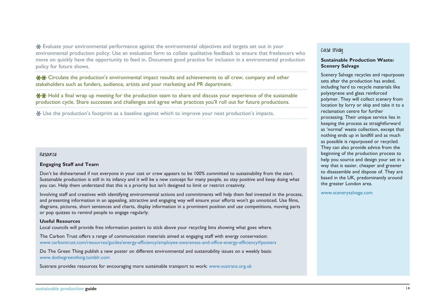Evaluate your environmental performance against the environmental objectives and targets set out in your environmental production policy. Use an evaluation form to collate qualitative feedback to ensure that freelancers who move on quickly have the opportunity to feed in. Document good practice for inclusion in a environmental production policy for future shows.

Circulate the production's environmental impact results and achievements to all crew, company and other stakeholders such as funders, audience, artists and your marketing and PR department.

 $\star\star$  Hold a final wrap up meeting for the production team to share and discuss your experience of the sustainable production cycle. Share successes and challenges and agree what practices you'll roll out for future productions.

Use the production's footprint as a baseline against which to improve your next production's impacts.

#### **Resource**

#### **Engaging Staff and Team**

Don't be disheartened if not everyone in your cast or crew appears to be 100% committed to sustainability from the start. Sustainable production is still in its infancy and it will be a new concept for many people, so stay positive and keep doing what you can. Help them understand that this is a priority but isn't designed to limit or restrict creativity.

Involving staff and creatives with identifying environmental actions and commitments will help them feel invested in the process, and presenting information in an appealing, attractive and engaging way will ensure your efforts won't go unnoticed. Use films, diagrams, pictures, short sentences and charts, display information in a prominent position and use competitions, moving parts or pop quizzes to remind people to engage regularly.

#### **Useful Resources**

Local councils will provide free information posters to stick above your recycling bins showing what goes where.

The Carbon Trust offers a range of communication materials aimed at engaging staff with energy conservation: www.carbontrust.com/resources/guides/energy-efficiency/employee-awareness-and-office-energy-efficiency#posters

Do The Green Thing publish a new poster on different environmental and sustainability issues on a weekly basis: www.dothegreenthing.tumblr.com

Sustrans provides resources for encouraging more sustainable transport to work: www.sustrans.org.uk

#### **Case study**

#### **Sustainable Production Waste: Scenery Salvage**

Scenery Salvage recycles and repurposes sets after the production has ended, including hard to recycle materials like polystyrene and glass reinforced polymer. They will collect scenery from location by lorry or skip and take it to a reclamation centre for further processing. Their unique service lies in keeping the process as straightforward as 'normal' waste collection, except that nothing ends up in landfill and as much as possible is repurposed or recycled. They can also provide advice from the beginning of the production process to help you source and design your set in a way that is easier, cheaper and greener to disassemble and dispose of. They are based in the UK, predominantly around the greater London area.

<www.scenerysalvage.com>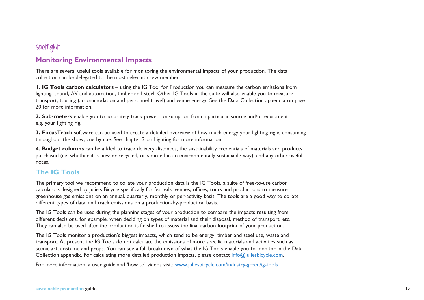# **Spotlight**

### **Monitoring Environmental Impacts**

There are several useful tools available for monitoring the environmental impacts of your production. The data collection can be delegated to the most relevant crew member.

**1. IG Tools carbon calculators** – using the IG Tool for Production you can measure the carbon emissions from lighting, sound, AV and automation, timber and steel. Other IG Tools in the suite will also enable you to measure transport, touring (accommodation and personnel travel) and venue energy. See the Data Collection appendix on page 20 for more information.

**2. Sub-meters** enable you to accurately track power consumption from a particular source and/or equipment e.g. your lighting rig.

**3. FocusTrack** software can be used to create a detailed overview of how much energy your lighting rig is consuming throughout the show, cue by cue. See chapter 2 on Lighting for more information.

**4. Budget columns** can be added to track delivery distances, the sustainability credentials of materials and products purchased (i.e. whether it is new or recycled, or sourced in an environmentally sustainable way), and any other useful notes.

### **The IG Tools**

The primary tool we recommend to collate your production data is the IG Tools, a suite of free-to-use carbon calculators designed by Julie's Bicycle specifically for festivals, venues, offices, tours and productions to measure greenhouse gas emissions on an annual, quarterly, monthly or per-activity basis. The tools are a good way to collate different types of data, and track emissions on a production-by-production basis.

The IG Tools can be used during the planning stages of your production to compare the impacts resulting from different decisions, for example, when deciding on types of material and their disposal, method of transport, etc. They can also be used after the production is finished to assess the final carbon footprint of your production.

The IG Tools monitor a production's biggest impacts, which tend to be energy, timber and steel use, waste and transport. At present the IG Tools do not calculate the emissions of more specific materials and activities such as scenic art, costume and props. You can see a full breakdown of what the IG Tools enable you to monitor in the Data Collection appendix. For calculating more detailed production impacts, please contact info@juliesbicycle.com.

For more information, a user guide and 'how to' videos visit: www.juliesbicycle.com/industry-green/ig-tools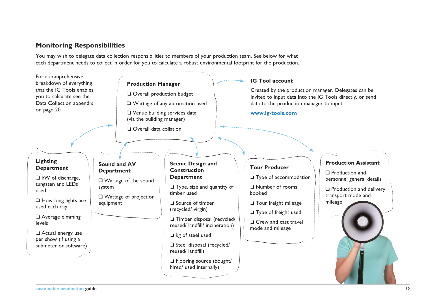## **Monitoring Responsibilities**

You may wish to delegate data collection responsibilities to members of your production team. See below for what each department needs to collect in order for you to calculate a robust environmental footprint for the production.

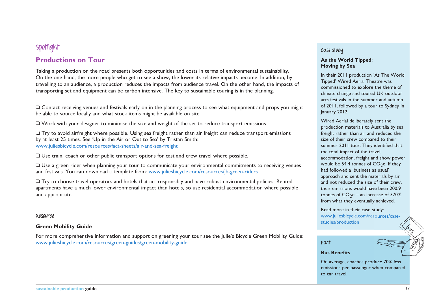# **Spotlight**

### **Productions on Tour**

Taking a production on the road presents both opportunities and costs in terms of environmental sustainability. On the one hand, the more people who get to see a show, the lower its relative impacts become. In addition, by travelling to an audience, a production reduces the impacts from audience travel. On the other hand, the impacts of transporting set and equipment can be carbon intensive. The key to sustainable touring is in the planning.

 $\Box$  Contact receiving venues and festivals early on in the planning process to see what equipment and props you might be able to source locally and what stock items might be available on site.

 $\Box$  Work with your designer to minimise the size and weight of the set to reduce transport emissions.

 $\Box$  Try to avoid airfreight where possible. Using sea freight rather than air freight can reduce transport emissions by at least 25 times. See 'Up in the Air or Out to Sea' by Tristan Smith: www.juliesbicycle.com/resources/fact-sheets/air-and-sea-freight

 $\Box$  Use train, coach or other public transport options for cast and crew travel where possible.

 $\Box$  Use a green rider when planning your tour to communicate your environmental commitments to receiving venues and festivals. You can download a template from: www.juliesbicycle.com/resources/jb-green-riders

 $\Box$  Try to choose travel operators and hotels that act responsibly and have robust environmental policies. Rented apartments have a much lower environmental impact than hotels, so use residential accommodation where possible and appropriate.

#### **Resource**

#### **Green Mobility Guide**

For more comprehensive information and support on greening your tour see the Julie's Bicycle Green Mobility Guide: www.juliesbicycle.com/resources/green-guides/green-mobility-guide

#### **Case study**

#### **As the World Tipped: Moving by Sea**

In their 2011 production 'As The World Tipped' Wired Aerial Theatre was commissioned to explore the theme of climate change and toured UK outdoor arts festivals in the summer and autumn of 2011, followed by a tour to Sydney in January 2012.

Wired Aerial deliberately sent the production materials to Australia by sea freight rather than air and reduced the size of their crew compared to their summer 2011 tour. They identified that the total impact of the travel, accommodation, freight and show power would be 54.4 tonnes of  $CO<sub>2</sub>e$ . If they had followed a 'business as usual' approach and sent the materials by air and not reduced the size of their crew, their emissions would have been 200.9 tonnes of  $CO<sub>2</sub>e$  – an increase of 370% from what they eventually achieved.

Read more in their case study: [www.juliesbicycle.com/resources/case](www.juliesbicycle.com/resources/case-studies/production)[studies/production](www.juliesbicycle.com/resources/case-studies/production)

#### **Fact**

#### **Bus Benefits**

On average, coaches produce 70% less emissions per passenger when compared to car travel.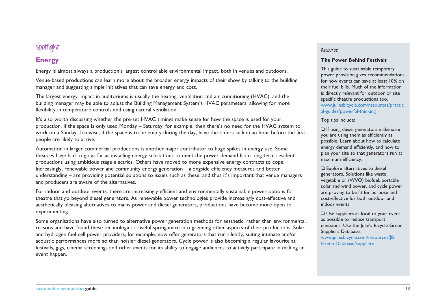# **Spotlight**

# **Energy**

Energy is almost always a production's largest controllable environmental impact, both in venues and outdoors.

Venue-based productions can learn more about the broader energy impacts of their show by talking to the building manager and suggesting simple initiatives that can save energy and cost.

The largest energy impact in auditoriums is usually the heating, ventilation and air conditioning (HVAC), and the building manager may be able to adjust the Building Management System's HVAC parameters, allowing for more flexibility in temperature controls and using natural ventilation.

It's also worth discussing whether the pre-set HVAC timings make sense for how the space is used for your production. If the space is only used Monday – Saturday, for example, then there's no need for the HVAC system to work on a Sunday. Likewise, if the space is to be empty during the day, have the timers kick in an hour before the first people are likely to arrive.

Automation in larger commercial productions is another major contributor to huge spikes in energy use. Some theatres have had to go as far as installing energy substations to meet the power demand from long-term resident productions using ambitious stage electrics. Others have moved to more expensive energy contracts to cope. Increasingly, renewable power and community energy generation – alongside efficiency measures and better understanding – are providing potential solutions to issues such as these, and thus it's important that venue managers and producers are aware of the alternatives.

For indoor and outdoor events, there are increasingly efficient and environmentally sustainable power options for theatre that go beyond diesel generators. As renewable power technologies provide increasingly cost-effective and aesthetically pleasing alternatives to mains power and diesel generators, productions have become more open to experimenting.

Some organisations have also turned to alternative power generation methods for aesthetic, rather than environmental, reasons and have found these technologies a useful springboard into greening other aspects of their productions. Solar and hydrogen fuel cell power providers, for example, now offer generators that run silently, suiting intimate and/or acoustic performances more so than noisier diesel generators. Cycle power is also becoming a regular favourite at festivals, gigs, cinema screenings and other events for its ability to engage audiences to actively participate in making an event happen.

#### **Resource**

#### **The Power Behind Festivals**

This guide to sustainable temporary power provision gives recommendations for how events can save at least 10% on their fuel bills. Much of the information is directly relevant for outdoor or site specific theatre productions too. [www.juliesbicycle.com/resources/practic](www.juliesbicycle.com/resources/practical-guides/powerful-thinking%20) [al-guides/powerful-thinking](www.juliesbicycle.com/resources/practical-guides/powerful-thinking%20) 

Top tips include:

 $\Box$  If using diesel generators make sure you are using them as efficiently as possible. Learn about how to calculate energy demand efficiently, and how to plan your site so that generators run at maximum efficiency.

 $\Box$  Explore alternatives to diesel generators. Solutions like waste vegetable oil (WVO) biofuel, portable solar and wind power, and cycle power are proving to be fit for purpose and cost-effective for both outdoor and indoor events.

 $\Box$  Use suppliers as local to your event as possible to reduce transport emissions. Use the Julie's Bicycle Green Suppliers Database: [www.juliesbicycle.com/resources/JB-](www.juliesbicycle.com/resources/JB-Green-Database/suppliers)[Green-Database/suppliers](www.juliesbicycle.com/resources/JB-Green-Database/suppliers)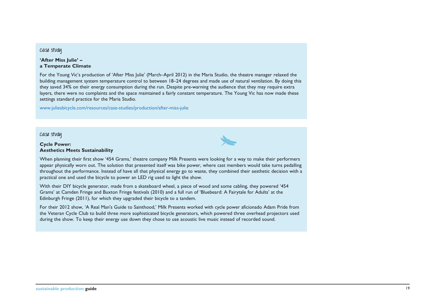#### **Case study**

**'After Miss Julie' – a Temperate Climate**

For the Young Vic's production of 'After Miss Julie' (March–April 2012) in the Maria Studio, the theatre manager relaxed the building management system temperature control to between 18–24 degrees and made use of natural ventilation. By doing this they saved 34% on their energy consumption during the run. Despite pre-warning the audience that they may require extra layers, there were no complaints and the space maintained a fairly constant temperature. The Young Vic has now made these settings standard practice for the Maria Studio.

<www.juliesbicycle.com/resources/case-studies/production/after-miss-julie>

**Case study**

#### **Cycle Power: Aesthetics Meets Sustainability**



When planning their first show '454 Grams,' theatre company Milk Presents were looking for a way to make their performers appear physically worn out. The solution that presented itself was bike power, where cast members would take turns pedalling throughout the performance. Instead of have all that physical energy go to waste, they combined their aesthetic decision with a practical one and used the bicycle to power an LED rig used to light the show.

With their DIY bicycle generator, made from a skateboard wheel, a piece of wood and some cabling, they powered '454 Grams' at Camden Fringe and Buxton Fringe festivals (2010) and a full run of 'Bluebeard: A Fairytale for Adults' at the Edinburgh Fringe (2011), for which they upgraded their bicycle to a tandem.

For their 2012 show, 'A Real Man's Guide to Sainthood,' Milk Presents worked with cycle power aficionado Adam Pride from the Veteran Cycle Club to build three more sophisticated bicycle generators, which powered three overhead projectors used during the show. To keep their energy use down they chose to use acoustic live music instead of recorded sound.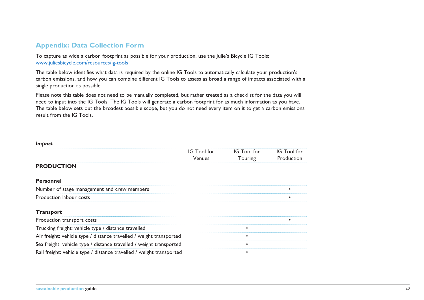# **Appendix: Data Collection Form**

To capture as wide a carbon footprint as possible for your production, use the Julie's Bicycle IG Tools: www.juliesbicycle.com/resources/ig-tools

The table below identifies what data is required by the online IG Tools to automatically calculate your production's carbon emissions, and how you can combine different IG Tools to assess as broad a range of impacts associated with a single production as possible.

Please note this table does not need to be manually completed, but rather treated as a checklist for the data you will need to input into the IG Tools. The IG Tools will generate a carbon footprint for as much information as you have. The table below sets out the broadest possible scope, but you do not need every item on it to get a carbon emissions result from the IG Tools.

#### *Impact*

|                                                                      | IG Tool for<br>Venues | IG Tool for<br>Touring | IG Tool for<br>Production |
|----------------------------------------------------------------------|-----------------------|------------------------|---------------------------|
| <b>PRODUCTION</b>                                                    |                       |                        |                           |
| <b>Personnel</b>                                                     |                       |                        |                           |
| Number of stage management and crew members                          |                       |                        |                           |
| Production labour costs                                              |                       |                        |                           |
| <b>Transport</b>                                                     |                       |                        |                           |
| Production transport costs                                           |                       |                        |                           |
| Trucking freight: vehicle type / distance travelled                  |                       |                        |                           |
| Air freight: vehicle type / distance travelled / weight transported  |                       |                        |                           |
| Sea freight: vehicle type / distance travelled / weight transported  |                       |                        |                           |
| Rail freight: vehicle type / distance travelled / weight transported |                       |                        |                           |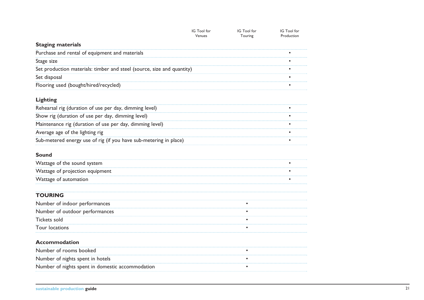|                                                                        | IG Tool for<br>Venues | IG Tool for<br>Touring | IG Tool for<br>Production |
|------------------------------------------------------------------------|-----------------------|------------------------|---------------------------|
| <b>Staging materials</b>                                               |                       |                        |                           |
| Purchase and rental of equipment and materials                         |                       |                        |                           |
| Stage size                                                             |                       |                        |                           |
| Set production materials: timber and steel (source, size and quantity) |                       |                        |                           |
| Set disposal                                                           |                       |                        |                           |
| Flooring used (bought/hired/recycled)                                  |                       |                        |                           |
| <b>Lighting</b>                                                        |                       |                        |                           |
| Rehearsal rig (duration of use per day, dimming level)                 |                       |                        |                           |
| Show rig (duration of use per day, dimming level)                      |                       |                        |                           |
| Maintenance rig (duration of use per day, dimming level)               |                       |                        |                           |
| Average age of the lighting rig                                        |                       |                        |                           |
| Sub-metered energy use of rig (if you have sub-metering in place)      |                       |                        |                           |
| Sound                                                                  |                       |                        |                           |
| Wattage of the sound system                                            |                       |                        |                           |
| Wattage of projection equipment                                        |                       |                        |                           |
| Wattage of automation                                                  |                       |                        |                           |
|                                                                        |                       |                        |                           |
| <b>TOURING</b>                                                         |                       |                        |                           |
| Number of indoor performances                                          |                       |                        |                           |
| Number of outdoor performances                                         |                       |                        |                           |
| Tickets sold                                                           |                       |                        |                           |
| <b>Tour locations</b>                                                  |                       |                        |                           |
| <b>Accommodation</b>                                                   |                       |                        |                           |
| Number of rooms booked                                                 |                       |                        |                           |
| Number of nights spent in hotels                                       |                       |                        |                           |
| Number of nights spent in domestic accommodation                       |                       |                        |                           |
|                                                                        |                       |                        |                           |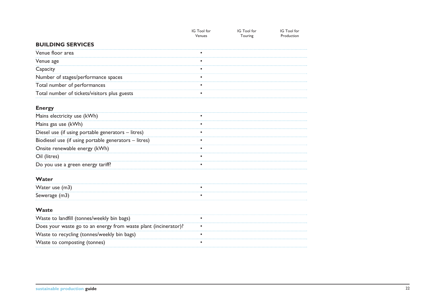|                                                                 | IG Tool for<br>Venues | IG Tool for<br>Touring | IG Tool for<br>Production |
|-----------------------------------------------------------------|-----------------------|------------------------|---------------------------|
| <b>BUILDING SERVICES</b>                                        |                       |                        |                           |
| Venue floor area                                                |                       |                        |                           |
| Venue age                                                       |                       |                        |                           |
| Capacity                                                        |                       |                        |                           |
| Number of stages/performance spaces                             |                       |                        |                           |
| Total number of performances                                    |                       |                        |                           |
| Total number of tickets/visitors plus guests                    |                       |                        |                           |
| <b>Energy</b>                                                   |                       |                        |                           |
| Mains electricity use (kWh)                                     |                       |                        |                           |
| Mains gas use (kWh)                                             |                       |                        |                           |
| Diesel use (if using portable generators - litres)              |                       |                        |                           |
| Biodiesel use (if using portable generators - litres)           |                       |                        |                           |
| Onsite renewable energy (kWh)                                   |                       |                        |                           |
| Oil (litres)                                                    |                       |                        |                           |
| Do you use a green energy tariff?                               |                       |                        |                           |
| Water                                                           |                       |                        |                           |
| Water use (m3)                                                  |                       |                        |                           |
| Sewerage (m3)                                                   |                       |                        |                           |
| Waste                                                           |                       |                        |                           |
| Waste to landfill (tonnes/weekly bin bags)                      |                       |                        |                           |
| Does your waste go to an energy from waste plant (incinerator)? |                       |                        |                           |
| Waste to recycling (tonnes/weekly bin bags)                     |                       |                        |                           |
| Waste to composting (tonnes)                                    |                       |                        |                           |
|                                                                 |                       |                        |                           |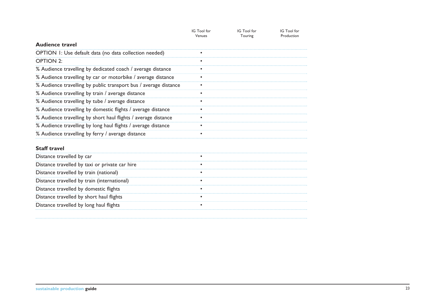|                                                                  | IG Tool for<br>Venues | IG Tool for<br>Touring | IG Tool for<br>Production |
|------------------------------------------------------------------|-----------------------|------------------------|---------------------------|
| <b>Audience travel</b>                                           |                       |                        |                           |
| OPTION I: Use default data (no data collection needed)           |                       |                        |                           |
| <b>OPTION 2:</b>                                                 |                       |                        |                           |
| % Audience travelling by dedicated coach / average distance      |                       |                        |                           |
| % Audience travelling by car or motorbike / average distance     |                       |                        |                           |
| % Audience travelling by public transport bus / average distance |                       |                        |                           |
| % Audience travelling by train / average distance                |                       |                        |                           |
| % Audience travelling by tube / average distance                 |                       |                        |                           |
| % Audience travelling by domestic flights / average distance     |                       |                        |                           |
| % Audience travelling by short haul flights / average distance   |                       |                        |                           |
| % Audience travelling by long haul flights / average distance    |                       |                        |                           |
| % Audience travelling by ferry / average distance                |                       |                        |                           |
| <b>Staff travel</b>                                              |                       |                        |                           |
| Distance travelled by car                                        |                       |                        |                           |
| Distance travelled by taxi or private car hire                   |                       |                        |                           |
| Distance travelled by train (national)                           |                       |                        |                           |
| Distance travelled by train (international)                      |                       |                        |                           |
| Distance travelled by domestic flights                           |                       |                        |                           |
| Distance travelled by short haul flights                         |                       |                        |                           |
| Distance travelled by long haul flights                          |                       |                        |                           |
|                                                                  |                       |                        |                           |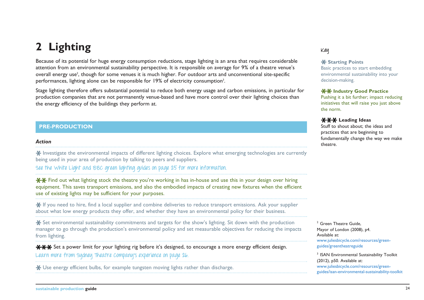# **2 Lighting**

Because of its potential for huge energy consumption reductions, stage lighting is an area that requires considerable attention from an environmental sustainability perspective. It is responsible on average for 9% of a theatre venue's overall energy use<sup>2</sup>, though for some venues it is much higher. For outdoor arts and unconventional site-specific performances, lighting alone can be responsible for 19% of electricity consumption<sup>3</sup>.

Stage lighting therefore offers substantial potential to reduce both energy usage and carbon emissions, in particular for production companies that are not permanently venue-based and have more control over their lighting choices than the energy efficiency of the buildings they perform at.

#### **PRE-PRODUCTION**

#### *Action*

Investigate the environmental impacts of different lighting choices. Explore what emerging technologies are currently being used in your area of production by talking to peers and suppliers.

**See the White Light and BBC green lighting guides on page 25 for more information.** 

 $*$  $*$  Find out what lighting stock the theatre you're working in has in-house and use this in your design over hiring equipment. This saves transport emissions, and also the embodied impacts of creating new fixtures when the efficient use of existing lights may be sufficient for your purposes.

If you need to hire, find a local supplier and combine deliveries to reduce transport emissions. Ask your supplier about what low energy products they offer, and whether they have an environmental policy for their business.

Set environmental sustainability commitments and targets for the show's lighting. Sit down with the production manager to go through the production's environmental policy and set measurable objectives for reducing the impacts from lighting.

**\*\*\*** Set a power limit for your lighting rig before it's designed, to encourage a more energy efficient design. Learn more from sydney Theatre Company's experience on page 26.

Use energy efficient bulbs, for example tungsten moving lights rather than discharge.

#### **Key**

#### **K** Starting Points

Basic practices to start embedding environmental sustainability into your decision-making.

#### **XX Industry Good Practice**

Pushing it a bit further; impact reducing initiatives that will raise you just above the norm.

#### **Leading Ideas**

Stuff to shout about; the ideas and practices that are beginning to fundamentally change the way we make theatre.

<sup>2</sup> Green Theatre Guide. Mayor of London (2008), p4. Available at: [www.juliesbicycle.com/resources/green](www.juliesbicycle.com/resources/green-guides/greentheatreguide)[guides/greentheatreguide](www.juliesbicycle.com/resources/green-guides/greentheatreguide)

<sup>3</sup> ISAN Environmental Sustainability Toolkit (2012), p50. Available at: [www.juliesbicycle.com/resources/green](www.juliesbicycle.com/resources/green-guides/isan-environmental-sustainability-toolkit)[guides/isan-environmental-sustainability-toolkit](www.juliesbicycle.com/resources/green-guides/isan-environmental-sustainability-toolkit)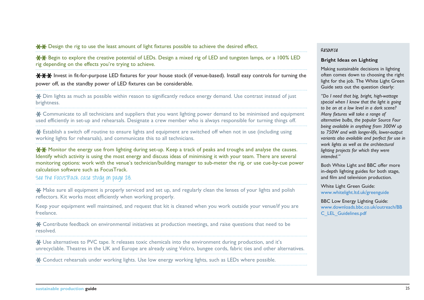$*$  $*$  Design the rig to use the least amount of light fixtures possible to achieve the desired effect.

 $*$  $*$  Begin to explore the creative potential of LEDs. Design a mixed rig of LED and tungsten lamps, or a 100% LED rig depending on the effects you're trying to achieve.

<del>XXX</del> Invest in fit-for-purpose LED fixtures for your house stock (if venue-based). Install easy controls for turning the power off, as the standby power of LED fixtures can be considerable.

\* Dim lights as much as possible within reason to significantly reduce energy demand. Use contrast instead of just brightness.

Communicate to all technicians and suppliers that you want lighting power demand to be minimised and equipment used efficiently in set-up and rehearsals. Designate a crew member who is always responsible for turning things off.

Establish a switch off routine to ensure lights and equipment are switched off when not in use (including using working lights for rehearsals), and communicate this to all technicians.

**XX** Monitor the energy use from lighting during set-up. Keep a track of peaks and troughs and analyse the causes. Identify which activity is using the most energy and discuss ideas of minimising it with your team. There are several monitoring options: work with the venue's technician/building manager to sub-meter the rig, or use cue-by-cue power calculation software such as FocusTrack.

**See the FocusTrack case study on page 28.** 

\* Make sure all equipment is properly serviced and set up, and regularly clean the lenses of your lights and polish reflectors. Kit works most efficiently when working properly.

Keep your equipment well maintained, and request that kit is cleaned when you work outside your venue/if you are freelance.

Contribute feedback on environmental initiatives at production meetings, and raise questions that need to be resolved.

Use alternatives to PVC tape. It releases toxic chemicals into the environment during production, and it's unrecyclable. Theatres in the UK and Europe are already using Velcro, bungee cords, fabric ties and other alternatives.

\* Conduct rehearsals under working lights. Use low energy working lights, such as LEDs where possible.

#### **Resource**

#### **Bright Ideas on Lighting**

Making sustainable decisions in lighting often comes down to choosing the right light for the job. The White Light Green Guide sets out the question clearly:

*"Do I need that big, bright, high-wattage special when I know that the light is going to be on at a low level in a dark scene? Many fixtures will take a range of alternative bulbs, the popular Source Four being available in anything from 300W up to 750W and with longer-life, lower-output variants also available and perfect for use in work lights as well as the architectural lighting projects for which they were intended."* 

Both White Light and BBC offer more in-depth lighting guides for both stage, and film and television production.

White Light Green Guide: <www.whitelight.ltd.uk/greenguide>

BBC Low Energy Lighting Guide: [www.downloads.bbc.co.uk/outreach/BB](www.downloads.bbc.co.uk/outreach/BBC_LEL_Guidelines.pdf) [C\\_LEL\\_Guidelines.pdf](www.downloads.bbc.co.uk/outreach/BBC_LEL_Guidelines.pdf)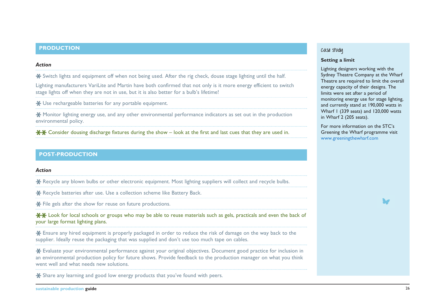#### **PRODUCTION**

#### *Action*

Switch lights and equipment off when not being used. After the rig check, douse stage lighting until the half.

Lighting manufacturers VariLite and Martin have both confirmed that not only is it more energy efficient to switch stage lights off when they are not in use, but it is also better for a bulb's lifetime!

\* Use rechargeable batteries for any portable equipment.

Monitor lighting energy use, and any other environmental performance indicators as set out in the production environmental policy.

 $**$  Consider dousing discharge fixtures during the show – look at the first and last cues that they are used in.

#### **POST-PRODUCTION**

#### *Action*

**K** Recycle any blown bulbs or other electronic equipment. Most lighting suppliers will collect and recycle bulbs.

\* Recycle batteries after use. Use a collection scheme like Battery Back.

\* File gels after the show for reuse on future productions.

 $*$  $*$  Look for local schools or groups who may be able to reuse materials such as gels, practicals and even the back of your large format lighting plans.

Ensure any hired equipment is properly packaged in order to reduce the risk of damage on the way back to the supplier. Ideally reuse the packaging that was supplied and don't use too much tape on cables.

Evaluate your environmental performance against your original objectives. Document good practice for inclusion in an environmental production policy for future shows. Provide feedback to the production manager on what you think went well and what needs new solutions.

\* Share any learning and good low energy products that you've found with peers.

#### **Case study**

#### **Setting a limit**

Lighting designers working with the Sydney Theatre Company at the Wharf Theatre are required to limit the overall energy capacity of their designs. The limits were set after a period of monitoring energy use for stage lighting, and currently stand at 190,000 watts in Wharf I (339 seats) and 120,000 watts in Wharf 2 (205 seats).

For more information on the STC's Greening the Wharf programme visit <www.greeningthewharf.com>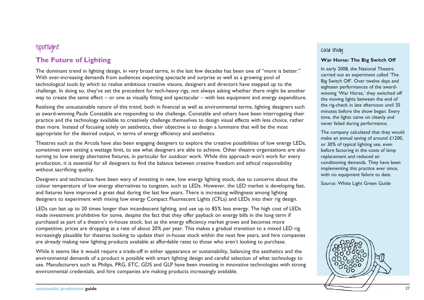# **Spotlight**

# **The Future of Lighting**

The dominant trend in lighting design, in very broad terms, in the last few decades has been one of "more is better." With ever-increasing demands from audiences expecting spectacle and surprise as well as a growing pool of technological tools by which to realise ambitious creative visions, designers and directors have stepped up to the challenge. In doing so, they've set the precedent for tech-heavy rigs, not always asking whether there might be another way to create the same effect – or one as visually fitting and spectacular – with less equipment and energy expenditure.

Realising the unsustainable nature of this trend, both in financial as well as environmental terms, lighting designers such as award-winning Paule Constable are responding to the challenge. Constable and others have been interrogating their practice and the technology available to creatively challenge themselves to design visual effects with less choice, rather than more. Instead of focusing solely on aesthetics, their objective is to design a luminaire that will be the most appropriate for the desired output, in terms of energy efficiency and aesthetics.

Theatres such as the Arcola have also been engaging designers to explore the creative possibilities of low energy LEDs, sometimes even setting a wattage limit, to see what designers are able to achieve. Other theatre organisations are also turning to low energy alternative fixtures, in particular for outdoor work. While this approach won't work for every production, it is essential for all designers to find the balance between creative freedom and ethical responsibility without sacrificing quality.

Designers and technicians have been wary of investing in new, low energy lighting stock, due to concerns about the colour temperature of low energy alternatives to tungsten, such as LEDs. However, the LED market is developing fast, and fixtures have improved a great deal during the last few years. There is increasing willingness among lighting designers to experiment with mixing low energy Compact Fluorescent Lights (CFLs) and LEDs into their rig design.

LEDs can last up to 20 times longer than incandescent lighting, and use up to 85% less energy. The high cost of LEDs made investment prohibitive for some, despite the fact that they offer payback on energy bills in the long term if purchased as part of a theatre's in-house stock, but as the energy efficiency market grows and becomes more competitive, prices are dropping at a rate of about 20% per year. This makes a gradual transition to a mixed LED rig increasingly plausible for theatres looking to update their in-house stock within the next few years, and hire companies are already making new lighting products available at affordable rates to those who aren't looking to purchase.

While it seems like it would require a trade-off in either appearance or sustainability, balancing the aesthetics and the environmental demands of a product is possible with smart lighting design and careful selection of what technology to use. Manufacturers such as Philips, PRG, ETC, GDS and GLP have been investing in innovative technologies with strong environmental credentials, and hire companies are making products increasingly available.

#### **Case study**

#### **War Horse: The Big Switch Off**

In early 2008, the National Theatre carried out an experiment called 'The Big Switch Off'. Over twelve days and eighteen performances of the awardwinning 'War Horse,' they switched off the moving lights between the end of the rig-check in late afternoon until 35 minutes before the show began. Every time, the lights came on cleanly and never failed during performance.

The company calculated that they would make an annual saving of around £1200, or 30% of typical lighting use, even before factoring in the costs of lamp replacement and reduced air conditioning demands. They have been implementing this practice ever since, with no equipment failure to date.

Source: White Light Green Guide

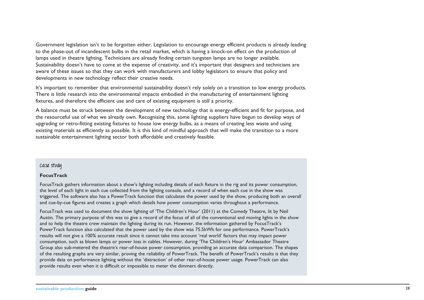Government legislation isn't to be forgotten either. Legislation to encourage energy efficient products is already leading to the phase-out of incandescent bulbs in the retail market, which is having a knock-on effect on the production of lamps used in theatre lighting. Technicians are already finding certain tungsten lamps are no longer available. Sustainability doesn't have to come at the expense of creativity, and it's important that designers and technicians are aware of these issues so that they can work with manufacturers and lobby legislators to ensure that policy and developments in new technology reflect their creative needs.

It's important to remember that environmental sustainability doesn't rely solely on a transition to low energy products. There is little research into the environmental impacts embodied in the manufacturing of entertainment lighting fixtures, and therefore the efficient use and care of existing equipment is still a priority.

A balance must be struck between the development of new technology that is energy-efficient and fit for purpose, and the resourceful use of what we already own. Recognising this, some lighting suppliers have begun to develop ways of upgrading or retro-fitting existing fixtures to house low energy bulbs, as a means of creating less waste and using existing materials as efficiently as possible. It is this kind of mindful approach that will make the transition to a more sustainable entertainment lighting sector both affordable and creatively feasible.

#### **Case study**

#### **FocusTrack**

FocusTrack gathers information about a show's lighting including details of each fixture in the rig and its power consumption, the level of each light in each cue collected from the lighting console, and a record of when each cue in the show was triggered. The software also has a PowerTrack function that calculates the power used by the show, producing both an overall and cue-by-cue figures and creates a graph which details how power consumption varies throughout a performance.

FocusTrack was used to document the show lighting of 'The Children's Hour' (2011) at the Comedy Theatre, lit by Neil Austin. The primary purpose of this was to give a record of the focus of all of the conventional and moving lights in the show and to help the theatre crew maintain the lighting during its run. However, the information gathered by FocusTrack's PowerTrack function also calculated that the power used by the show was 75.5kWh for one performance. PowerTrack's results will not give a 100% accurate result since it cannot take into account 'real world' factors that may impact power consumption, such as blown lamps or power loss in cables. However, during 'The Children's Hour' Ambassador Theatre Group also sub-metered the theatre's rear-of-house power consumption, providing an accurate data comparison. The shapes of the resulting graphs are very similar, proving the reliability of PowerTrack. The benefit of PowerTrack's results is that they provide data on performance lighting without the 'distraction' of other rear-of-house power usage. PowerTrack can also provide results even when it is difficult or impossible to meter the dimmers directly.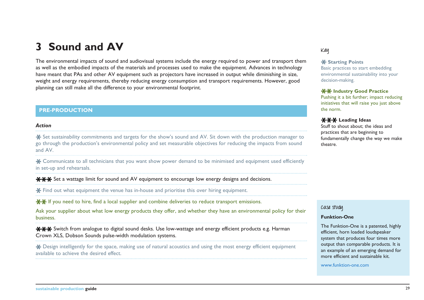# **3 Sound and AV**

The environmental impacts of sound and audiovisual systems include the energy required to power and transport them as well as the embodied impacts of the materials and processes used to make the equipment. Advances in technology have meant that PAs and other AV equipment such as projectors have increased in output while diminishing in size, weight and energy requirements, thereby reducing energy consumption and transport requirements. However, good planning can still make all the difference to your environmental footprint.

#### **PRE-PRODUCTION**

#### *Action*

\* Set sustainability commitments and targets for the show's sound and AV. Sit down with the production manager to go through the production's environmental policy and set measurable objectives for reducing the impacts from sound and AV.

\* Communicate to all technicians that you want show power demand to be minimised and equipment used efficiently in set-up and rehearsals.

**\*\*\*** Set a wattage limit for sound and AV equipment to encourage low energy designs and decisions.

Find out what equipment the venue has in-house and prioritise this over hiring equipment.

 $\star\star$  If you need to hire, find a local supplier and combine deliveries to reduce transport emissions.

Ask your supplier about what low energy products they offer, and whether they have an environmental policy for their business.

**XXX** Switch from analogue to digital sound desks. Use low-wattage and energy efficient products e.g. Harman Crown XLS, Dobson Sounds pulse-width modulation systems.

Design intelligently for the space, making use of natural acoustics and using the most energy efficient equipment available to achieve the desired effect.

#### **Key**

#### **K** Starting Points

Basic practices to start embedding environmental sustainability into your decision-making.

#### **XX Industry Good Practice**

Pushing it a bit further; impact reducing initiatives that will raise you just above the norm.

#### **Leading Ideas**

Stuff to shout about; the ideas and practices that are beginning to fundamentally change the way we make theatre.

**Case study**

#### **Funktion-One**

The Funktion-One is a patented, highly efficient, horn loaded loudspeaker system that produces four times more output than comparable products. It is an example of an emerging demand for more efficient and sustainable kit.

<www.funktion-one.com>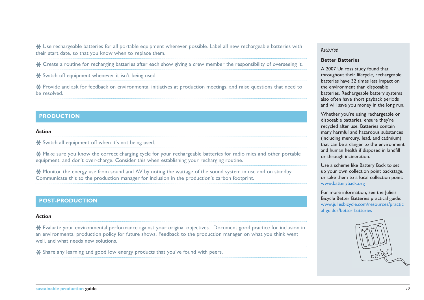Use rechargeable batteries for all portable equipment wherever possible. Label all new rechargeable batteries with their start date, so that you know when to replace them.

Create a routine for recharging batteries after each show giving a crew member the responsibility of overseeing it.

\* Switch off equipment whenever it isn't being used.

Provide and ask for feedback on environmental initiatives at production meetings, and raise questions that need to be resolved.

#### **PRODUCTION**

#### *Action*

Switch all equipment off when it's not being used.

\* Make sure you know the correct charging cycle for your rechargeable batteries for radio mics and other portable equipment, and don't over-charge. Consider this when establishing your recharging routine.

**X** Monitor the energy use from sound and AV by noting the wattage of the sound system in use and on standby. Communicate this to the production manager for inclusion in the production's carbon footprint.

#### **POST-PRODUCTION**

#### *Action*

Evaluate your environmental performance against your original objectives. Document good practice for inclusion in an environmental production policy for future shows. Feedback to the production manager on what you think went well, and what needs new solutions.

\* Share any learning and good low energy products that you've found with peers.

#### **Resource**

#### **Better Batteries**

A 2007 Uniross study found that throughout their lifecycle, rechargeable batteries have 32 times less impact on the environment than disposable batteries. Rechargeable battery systems also often have short payback periods and will save you money in the long run.

Whether you're using rechargeable or disposable batteries, ensure they're recycled after use. Batteries contain many harmful and hazardous substances (including mercury, lead, and cadmium) that can be a danger to the environment and human health if disposed in landfill or through incineration.

Use a scheme like Battery Back to set up your own collection point backstage, or take them to a local collection point: <www.batteryback.org>

For more information, see the Julie's Bicycle Better Batteries practical guide: [www.juliesbicycle.com/resources/practic](www.juliesbicycle.com/resources/practical-guides/better-batteries) [al-guides/better-batteries](www.juliesbicycle.com/resources/practical-guides/better-batteries)

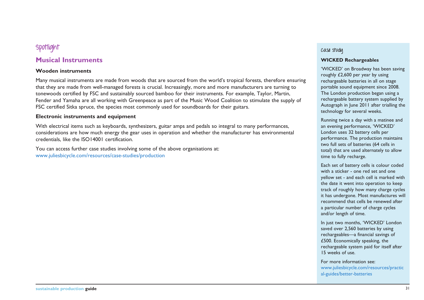# **Spotlight**

### **Musical Instruments**

#### **Wooden instruments**

Many musical instruments are made from woods that are sourced from the world's tropical forests, therefore ensuring that they are made from well-managed forests is crucial. Increasingly, more and more manufacturers are turning to tonewoods certified by FSC and sustainably sourced bamboo for their instruments. For example, Taylor, Martin, Fender and Yamaha are all working with Greenpeace as part of the Music Wood Coalition to stimulate the supply of FSC certified Sitka spruce, the species most commonly used for soundboards for their guitars.

#### **Electronic instruments and equipment**

With electrical items such as keyboards, synthesizers, guitar amps and pedals so integral to many performances, considerations are how much energy the gear uses in operation and whether the manufacturer has environmental credentials, like the ISO14001 certification.

You can access further case studies involving some of the above organisations at: www.juliesbicycle.com/resources/case-studies/production

#### **Case study**

#### **WICKED Rechargeables**

'WICKED' on Broadway has been saving roughly £2,600 per year by using rechargeable batteries in all on stage portable sound equipment since 2008. The London production began using a rechargeable battery system supplied by Autograph in June 2011 after trialling the technology for several weeks.

Running twice a day with a matinee and an evening performance, 'WICKED' London uses 32 battery cells per performance. The production maintains two full sets of batteries (64 cells in total) that are used alternately to allow time to fully recharge.

Each set of battery cells is colour coded with a sticker - one red set and one yellow set - and each cell is marked with the date it went into operation to keep track of roughly how many charge cycles it has undergone. Most manufactures will recommend that cells be renewed after a particular number of charge cycles and/or length of time.

In just two months, 'WICKED' London saved over 2,560 batteries by using rechargeables—a financial savings of £500. Economically speaking, the rechargeable system paid for itself after 15 weeks of use.

For more information see: [www.juliesbicycle.com/resources/practic](www.juliesbicycle.com/resources/practical-guides/better-batteries) [al-guides/better-batteries](www.juliesbicycle.com/resources/practical-guides/better-batteries)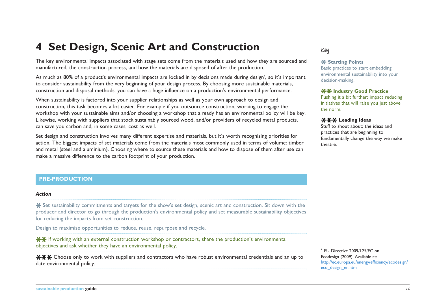# **4 Set Design, Scenic Art and Construction**

The key environmental impacts associated with stage sets come from the materials used and how they are sourced and manufactured, the construction process, and how the materials are disposed of after the production.

As much as 80% of a product's environmental impacts are locked in by decisions made during design<sup>4</sup>, so it's important to consider sustainability from the very beginning of your design process. By choosing more sustainable materials, construction and disposal methods, you can have a huge influence on a production's environmental performance.

When sustainability is factored into your supplier relationships as well as your own approach to design and construction, this task becomes a lot easier. For example if you outsource construction, working to engage the workshop with your sustainable aims and/or choosing a workshop that already has an environmental policy will be key. Likewise, working with suppliers that stock sustainably sourced wood, and/or providers of recycled metal products, can save you carbon and, in some cases, cost as well.

Set design and construction involves many different expertise and materials, but it's worth recognising priorities for action. The biggest impacts of set materials come from the materials most commonly used in terms of volume: timber and metal (steel and aluminium). Choosing where to source these materials and how to dispose of them after use can make a massive difference to the carbon footprint of your production.

#### **PRE-PRODUCTION**

#### *Action*

Set sustainability commitments and targets for the show's set design, scenic art and construction. Sit down with the producer and director to go through the production's environmental policy and set measurable sustainability objectives for reducing the impacts from set construction.

Design to maximise opportunities to reduce, reuse, repurpose and recycle.

 $\mathbf{H}$  If working with an external construction workshop or contractors, share the production's environmental objectives and ask whether they have an environmental policy.

 $**$  Choose only to work with suppliers and contractors who have robust environmental credentials and an up to date environmental policy.

#### **Key**

#### **K** Starting Points

Basic practices to start embedding environmental sustainability into your decision-making.

#### **XX Industry Good Practice**

Pushing it a bit further; impact reducing initiatives that will raise you just above the norm.

#### **XXX Leading Ideas**

Stuff to shout about; the ideas and practices that are beginning to fundamentally change the way we make theatre.

<sup>4</sup> EU Directive 2009/125/EC on Ecodesign (2009). Available at: [http://ec.europa.eu/energy/efficiency/ecodesign/](http://ec.europa.eu/energy/efficiency/ecodesign/eco_design_en.htm) [eco\\_design\\_en.htm](http://ec.europa.eu/energy/efficiency/ecodesign/eco_design_en.htm)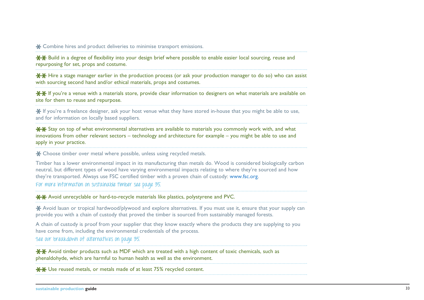\* Combine hires and product deliveries to minimise transport emissions.

 $*$  $*$  Build in a degree of flexibility into your design brief where possible to enable easier local sourcing, reuse and repurposing for set, props and costume.

 $**$  Hire a stage manager earlier in the production process (or ask your production manager to do so) who can assist with sourcing second hand and/or ethical materials, props and costumes.

<del>XX</del> If you're a venue with a materials store, provide clear information to designers on what materials are available on site for them to reuse and repurpose.

If you're a freelance designer, ask your host venue what they have stored in-house that you might be able to use, and for information on locally based suppliers.

**XX** Stay on top of what environmental alternatives are available to materials you commonly work with, and what innovations from other relevant sectors – technology and architecture for example – you might be able to use and apply in your practice.

\* Choose timber over metal where possible, unless using recycled metals.

Timber has a lower environmental impact in its manufacturing than metals do. Wood is considered biologically carbon neutral, but different types of wood have varying environmental impacts relating to where they're sourced and how they're transported. Always use FSC certified timber with a proven chain of custody: www.fsc.org.

**For more information on sustainable timber see page 35.**

**XX** Avoid unrecyclable or hard-to-recycle materials like plastics, polystyrene and PVC.

Avoid lauan or tropical hardwood/plywood and explore alternatives. If you must use it, ensure that your supply can provide you with a chain of custody that proved the timber is sourced from sustainably managed forests.

A chain of custody is proof from your supplier that they know exactly where the products they are supplying to you have come from, including the environmental credentials of the process.

**See our breakdown of alternatives on page 35.** 

 $*$  $*$  Avoid timber products such as MDF which are treated with a high content of toxic chemicals, such as phenaldohyde, which are harmful to human health as well as the environment.

**\*\*** Use reused metals, or metals made of at least 75% recycled content.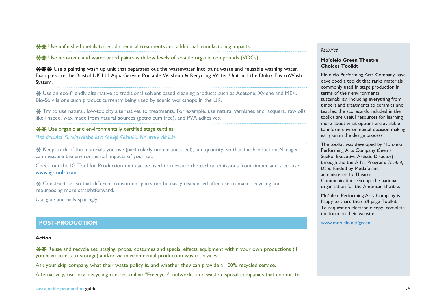$\star$  **→**  $\star$  Use unfinished metals to avoid chemical treatments and additional manufacturing impacts.

 $**$  Use non-toxic and water based paints with low levels of volatile organic compounds (VOCs).

<del>XXX</del> Use a painting wash up unit that separates out the wastewater into paint waste and reusable washing water. Examples are the Bristol UK Ltd Aqua-Service Portable Wash-up & Recycling Water Unit and the Dulux EnviroWash System.

Use an eco-friendly alternative to traditional solvent based cleaning products such as Acetone, Xylene and MEK. Bio-Solv is one such product currently being used by scenic workshops in the UK.

Try to use natural, low-toxicity alternatives to treatments. For example, use natural varnishes and lacquers, raw oils like linseed, wax made from natural sources (petroleum free), and PVA adhesives.

 $\star$  **↓** Use organic and environmentally certified stage textiles. **'See chapter 5, Wardrobe and Stage Fabrics, for more details.**

Keep track of the materials you use (particularly timber and steel), and quantity, so that the Production Manager can measure the environmental impacts of your set.

Check out the IG Tool for Production that can be used to measure the carbon emissions from timber and steel use: www.ig-tools.com

\* Construct set so that different constituent parts can be easily dismantled after use to make recycling and repurposing more straightforward.

Use glue and nails sparingly.

#### **POST-PRODUCTION** <www.moolelo.net/green>

#### *Action*

**XX** Reuse and recycle set, staging, props, costumes and special effects equipment within your own productions (if you have access to storage) and/or via environmental production waste services.

Ask your skip company what their waste policy is, and whether they can provide a 100% recycled service.

Alternatively, use local recycling centres, online "Freecycle" networks, and waste disposal companies that commit to

#### **Resource**

#### **Mo'olelo Green Theatre Choices Toolkit**

Mo'olelo Performing Arts Company have developed a toolkit that ranks materials commonly used in stage production in terms of their environmental sustainability. Including everything from timbers and treatments to ceramics and textiles, the scorecards included in the toolkit are useful resources for learning more about what options are available to inform environmental decision-making early on in the design process.

The toolkit was developed by Mo`olelo Performing Arts Company (Seema Sueko, Executive Artistic Director) through the the A-ha! Program: *Think it, Do it*, funded by MetLife and administered by Theatre Communications Group, the national organisation for the American theatre.

Mo`olelo Performing Arts Company is happy to share their 24-page Toolkit. To request an electronic copy, complete the form on their website: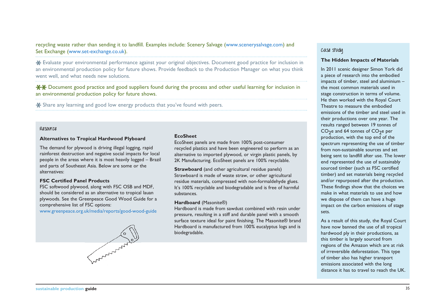recycling waste rather than sending it to landfill. Examples include: Scenery Salvage (www.scenerysalvage.com) and Set Exchange (www.set-exchange.co.uk).

Evaluate your environmental performance against your original objectives. Document good practice for inclusion in an environmental production policy for future shows. Provide feedback to the Production Manager on what you think went well, and what needs new solutions.

Document good practice and good suppliers found during the process and other useful learning for inclusion in an environmental production policy for future shows.

\* Share any learning and good low energy products that you've found with peers.

#### **Resource**

#### **Alternatives to Tropical Hardwood Plyboard**

The demand for plywood is driving illegal logging, rapid rainforest destruction and negative social impacts for local people in the areas where it is most heavily logged – Brazil and parts of Southeast Asia. Below are some or the alternatives:

#### **FSC Certified Panel Products**

FSC softwood plywood, along with FSC OSB and MDF, should be considered as an alternative to tropical lauan plywoods. See the Greenpeace Good Wood Guide for a comprehensive list of FSC options:

www.greenpeace.org.uk/media/reports/good-wood-guide



#### **EcoSheet**

EcoSheet panels are made from 100% post-consumer recycled plastics and have been engineered to perform as an alternative to imported plywood, or virgin plastic panels, by 2K Manufacturing. EcoSheet panels are 100% recyclable.

**Strawboard** (and other agricultural residue panels) Strawboard is made of waste straw, or other agricultural residue materials, compressed with non-formaldehyde glues. It's 100% recyclable and biodegradable and is free of harmful substances.

#### **Hardboard** (Masonite®)

Hardboard is made from sawdust combined with resin under pressure, resulting in a stiff and durable panel with a smooth surface texture ideal for paint finishing. The Masonite® brand Hardboard is manufactured from 100% eucalyptus logs and is biodegradable.

#### **Case study**

#### **The Hidden Impacts of Materials**

In 2011 scenic designer Simon York did a piece of research into the embodied impacts of timber, steel and aluminium – the most common materials used in stage construction in terms of volume. He then worked with the Royal Court Theatre to measure the embodied emissions of the timber and steel used in their productions over one year. The results ranged between 19 tonnes of  $CO<sub>2</sub>e$  and 64 tonnes of  $CO<sub>2</sub>e$  per production, with the top end of the spectrum representing the use of timber from non-sustainable sources and set being sent to landfill after use. The lower end represented the use of sustainably sourced timber (such as FSC certified timber) and set materials being recycled and/or repurposed after the production. These findings show that the choices we make in what materials to use and how we dispose of them can have a huge impact on the carbon emissions of stage sets.

As a result of this study, the Royal Court have now banned the use of all tropical hardwood ply in their productions, as this timber is largely sourced from regions of the Amazon which are at risk of irreversible deforestation. This type of timber also has higher transport emissions associated with the long distance it has to travel to reach the UK.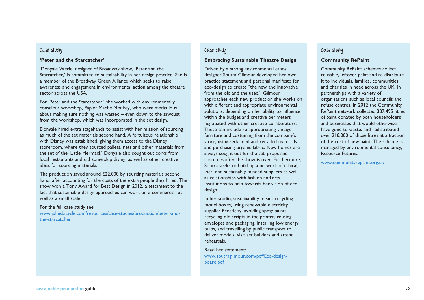#### **Case study**

#### **'Peter and the Starcatcher'**

'Donyale Werle, designer of Broadway show, 'Peter and the Starcatcher,' is committed to sustainability in her design practice. She is a member of the Broadway Green Alliance which seeks to raise awareness and engagement in environmental action among the theatre sector across the USA.

For 'Peter and the Starcatcher,' she worked with environmentally conscious workshop, Papier Mache Monkey, who were meticulous about making sure nothing was wasted – even down to the sawdust from the workshop, which was incorporated in the set design.

Donyale hired extra stagehands to assist with her mission of sourcing as much of the set materials second hand. A fortuitous relationship with Disney was established, giving them access to the Disney storeroom, where they sourced pallets, nets and other materials from the set of the 'Little Mermaid.' Donyale also sought out corks from local restaurants and did some skip diving, as well as other creative ideas for sourcing materials.

The production saved around £22,000 by sourcing materials second hand, after accounting for the costs of the extra people they hired. The show won a Tony Award for Best Design in 2012, a testament to the fact that sustainable design approaches can work on a commercial, as well as a small scale.

#### For the full case study see:

[www.juliesbicycle.com/resources/case-studies/production/peter-and](www.juliesbicycle.com/resources/case-studies/production/peter-and-the-starcatcher)[the-starcatcher](www.juliesbicycle.com/resources/case-studies/production/peter-and-the-starcatcher)

#### **Case study**

#### **Embracing Sustainable Theatre Design**

Driven by a strong environmental ethos, designer Soutra Gilmour developed her own practice statement and personal manifesto for eco-design to create "the new and innovative from the old and the used." Gilmour approaches each new production she works on with different and appropriate environmental solutions, depending on her ability to influence within the budget and creative perimeters negotiated with other creative collaborators. These can include re-appropriating vintage furniture and costuming from the company's store, using reclaimed and recycled materials and purchasing organic fabric. New homes are always sought out for the set, props and costumes after the show is over. Furthermore, Soutra seeks to build up a network of ethical, local and sustainably minded suppliers as well as relationships with fashion and arts institutions to help towards her vision of ecodesign.

In her studio, sustainability means recycling model boxes, using renewable electricity supplier Ecotricity, avoiding spray paints, recycling old scripts in the printer, reusing envelopes and packaging, installing low energy bulbs, and travelling by public transport to deliver models, visit set builders and attend rehearsals.

Read her statement: [www.soutragilmour.com/pdf/Eco-design](www.soutragilmour.com/pdf/Eco-design-board.pdf)[board.pdf](www.soutragilmour.com/pdf/Eco-design-board.pdf)

#### **Case study**

#### **Community RePaint**

Community RePaint schemes collect reusable, leftover paint and re-distribute it to individuals, families, communities and charities in need across the UK, in partnerships with a variety of organisations such as local councils and refuse centres. In 2012 the Community RePaint network collected 387,495 litres of paint donated by both householders and businesses that would otherwise have gone to waste, and redistributed over 218,000 of those litres at a fraction of the cost of new paint. The scheme is managed by environmental consultancy, Resource Futures.

<www.communityrepaint.org.uk>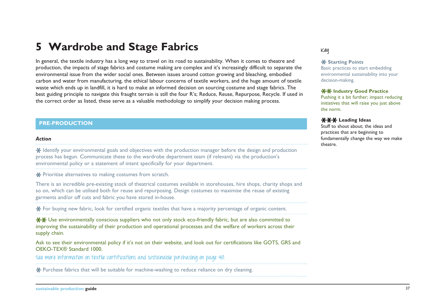# **5 Wardrobe and Stage Fabrics**

In general, the textile industry has a long way to travel on its road to sustainability. When it comes to theatre and production, the impacts of stage fabrics and costume making are complex and it's increasingly difficult to separate the environmental issue from the wider social ones. Between issues around cotton growing and bleaching, embodied carbon and water from manufacturing, the ethical labour concerns of textile workers, and the huge amount of textile waste which ends up in landfill, it is hard to make an informed decision on sourcing costume and stage fabrics. The best guiding principle to navigate this fraught terrain is still the four R's; Reduce, Reuse, Repurpose, Recycle. If used in the correct order as listed, these serve as a valuable methodology to simplify your decision making process.

#### **PRE-PRODUCTION**

#### *Action*

**X** Identify your environmental goals and objectives with the production manager before the design and production process has begun. Communicate these to the wardrobe department team (if relevant) via the production's environmental policy or a statement of intent specifically for your department.

\* Prioritise alternatives to making costumes from scratch.

There is an incredible pre-existing stock of theatrical costumes available in storehouses, hire shops, charity shops and so on, which can be utilised both for reuse and repurposing. Design costumes to maximise the reuse of existing garments and/or off cuts and fabric you have stored in-house.

For buying new fabric, look for certified organic textiles that have a majority percentage of organic content.

 $*$  $*$  Use environmentally conscious suppliers who not only stock eco-friendly fabric, but are also committed to improving the sustainability of their production and operational processes and the welfare of workers across their supply chain.

Ask to see their environmental policy if it's not on their website, and look out for certifications like GOTS, GRS and OEKO-TEX® Standard 1000.

**See more information on textile certifications and sustainable purchasing on page 40.**

\* Purchase fabrics that will be suitable for machine-washing to reduce reliance on dry cleaning.

#### **Key**

#### **X** Starting Points

Basic practices to start embedding environmental sustainability into your decision-making.

#### **XX Industry Good Practice**

Pushing it a bit further; impact reducing initiatives that will raise you just above the norm.

#### **XXX Leading Ideas**

Stuff to shout about; the ideas and practices that are beginning to fundamentally change the way we make theatre.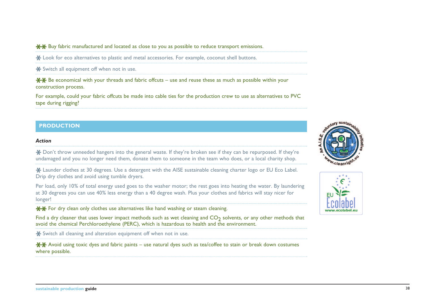$**$  Buy fabric manufactured and located as close to you as possible to reduce transport emissions.

\* Look for eco alternatives to plastic and metal accessories. For example, coconut shell buttons.

\* Switch all equipment off when not in use.

 $**$  Be economical with your threads and fabric offcuts – use and reuse these as much as possible within your construction process.

For example, could your fabric offcuts be made into cable ties for the production crew to use as alternatives to PVC tape during rigging?

#### **PRODUCTION**

#### *Action*

Don't throw unneeded hangers into the general waste. If they're broken see if they can be repurposed. If they're undamaged and you no longer need them, donate them to someone in the team who does, or a local charity shop.

\* Launder clothes at 30 degrees. Use a detergent with the AISE sustainable cleaning charter logo or EU Eco Label. Drip dry clothes and avoid using tumble dryers.

Per load, only 10% of total energy used goes to the washer motor; the rest goes into heating the water. By laundering at 30 degrees you can use 40% less energy than a 40 degree wash. Plus your clothes and fabrics will stay nicer for longer!

**XX** For dry clean only clothes use alternatives like hand washing or steam cleaning.

Find a dry cleaner that uses lower impact methods such as wet cleaning and  $CO<sub>2</sub>$  solvents, or any other methods that avoid the chemical Perchloroethylene (PERC), which is hazardous to health and the environment.

Switch all cleaning and alteration equipment off when not in use.

 $**$  Avoid using toxic dyes and fabric paints – use natural dyes such as tea/coffee to stain or break down costumes where possible.



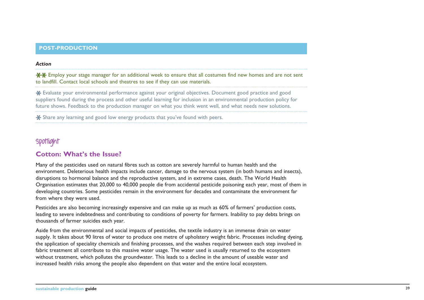#### *Action*

**\*\*** Employ your stage manager for an additional week to ensure that all costumes find new homes and are not sent to landfill. Contact local schools and theatres to see if they can use materials.

Evaluate your environmental performance against your original objectives. Document good practice and good suppliers found during the process and other useful learning for inclusion in an environmental production policy for future shows. Feedback to the production manager on what you think went well, and what needs new solutions.

\* Share any learning and good low energy products that you've found with peers.

# **Spotlight**

### **Cotton: What's the Issue?**

Many of the pesticides used on natural fibres such as cotton are severely harmful to human health and the environment. Deleterious health impacts include cancer, damage to the nervous system (in both humans and insects), disruptions to hormonal balance and the reproductive system, and in extreme cases, death. The World Health Organisation estimates that 20,000 to 40,000 people die from accidental pesticide poisoning each year, most of them in developing countries. Some pesticides remain in the environment for decades and contaminate the environment far from where they were used.

Pesticides are also becoming increasingly expensive and can make up as much as 60% of farmers' production costs, leading to severe indebtedness and contributing to conditions of poverty for farmers. Inability to pay debts brings on thousands of farmer suicides each year.

Aside from the environmental and social impacts of pesticides, the textile industry is an immense drain on water supply. It takes about 90 litres of water to produce one metre of upholstery weight fabric. Processes including dyeing, the application of speciality chemicals and finishing processes, and the washes required between each step involved in fabric treatment all contribute to this massive water usage. The water used is usually returned to the ecosystem without treatment, which pollutes the groundwater. This leads to a decline in the amount of useable water and increased health risks among the people also dependent on that water and the entire local ecosystem.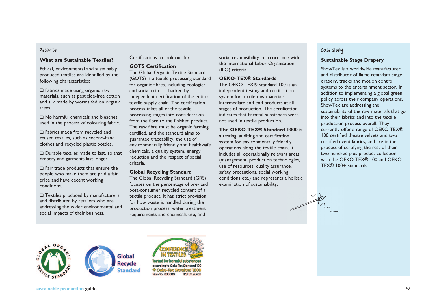#### **Resource**

#### **What are Sustainable Textiles?**

Ethical, environmental and sustainably produced textiles are identified by the following characteristics:

 $\Box$  Fabrics made using organic raw materials, such as pesticide-free cotton and silk made by worms fed on organic trees.

 $\Box$  No harmful chemicals and bleaches used in the process of colouring fabric.

 $\Box$  Fabrics made from recycled and reused textiles, such as second-hand clothes and recycled plastic bottles.

 $\Box$  Durable textiles made to last, so that drapery and garments last longer.

 $\Box$  Fair trade products that ensure the people who make them are paid a fair price and have decent working conditions.

 $\Box$  Textiles produced by manufacturers and distributed by retailers who are addressing the wider environmental and social impacts of their business.

Certifications to look out for:

#### **GOTS Certification**

The Global Organic Textile Standard (GOTS) is a textile processing standard for organic fibres, including ecological and social criteria, backed by independent certification of the entire textile supply chain. The certification process takes all of the textile processing stages into consideration, from the fibre to the finished product. The raw fibre must be organic farming certified, and the standard aims to guarantee traceability, the use of environmentally friendly and health-safe chemicals, a quality system, energy reduction and the respect of social criteria.

#### **Global Recycling Standard**

The Global Recycling Standard (GRS) focuses on the percentage of pre- and post-consumer recycled content of a textile product. It has strict provision for how waste is handled during the production process, water treatment requirements and chemicals use, and

social responsibility in accordance with the International Labor Organisation (ILO) criteria.

#### **OEKO-TEX® Standards**

The OEKO-TEX® Standard 100 is an independent testing and certification system for textile raw materials, intermediate and end products at all stages of production. The certification indicates that harmful substances were not used in textile production.

#### **The OEKO-TEX® Standard 1000** is

a testing, auditing and certification system for environmentally friendly operations along the textile chain. It includes all operationally relevant areas (management, production technologies, use of resources, quality assurance, safety precautions, social working conditions etc.) and represents a holistic examination of sustainability.

#### **Case study**

#### **Sustainable Stage Drapery**

ShowTex is a worldwide manufacturer and distributor of flame retardant stage drapery, tracks and motion control systems to the entertainment sector. In addition to implementing a global green policy across their company operations, ShowTex are addressing the sustainability of the raw materials that go into their fabrics and into the textile production process overall. They currently offer a range of OEKO-TEX® 100 certified theatre velvets and two certified event fabrics, and are in the process of certifying the rest of their two hundred plus product collection with the OEKO-TEX® 100 and OEKO-TEX® 100+ standards.





Test-No. 000000 **TESTEX Zürich**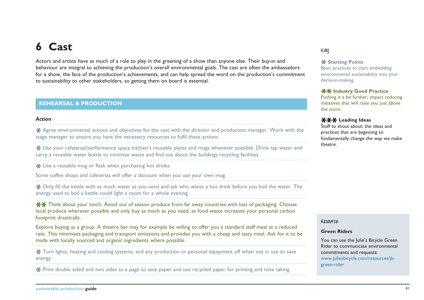# **6 Cast**

Actors and artists have as much of a role to play in the greening of a show than anyone else. Their buy-in and behaviour are integral to achieving the production's overall environmental goals. The cast are often the ambassadors for a show, the face of the production's achievements, and can help spread the word on the production's commitment to sustainability to other stakeholders, so getting them on board is essential.

#### **REHEARSAL & PRODUCTION**

#### *Action*

Agree environmental actions and objectives for the cast with the director and production manager. Work with the stage manager to ensure you have the necessary resources to fulfil these actions.

Use your rehearsal/performance space kitchen's reusable plates and mugs whenever possible. Drink tap water and carry a reusable water bottle to minimise waste and find out about the buildings recycling facilities.

**\*** Use a reusable mug or flask when purchasing hot drinks.

Some coffee shops and cafeterias will offer a discount when you use your own mug.

Only fill the kettle with as much water as you need and ask who wants a hot drink before you boil the water. The energy used to boil a kettle could light a room for a whole evening.

 $*$  $*$  Think about your lunch. Avoid out of season produce from far away countries with lots of packaging. Choose local produce wherever possible and only buy as much as you need, as food waste increases your personal carbon footprint drastically.

Explore buying as a group. A theatre bar may for example be willing to offer you a standard staff meal at a reduced rate. This minimises packaging and transport emissions and provides you with a cheap and tasty meal. Ask for it to be made with locally sourced and organic ingredients where possible.

Turn lights, heating and cooling systems, and any production or personal equipment off when not in use to save energy.

Print double sided and two sides to a page to save paper and use recycled paper for printing and note taking.

#### **Key**

#### **X** Starting Points

Basic practices to start embedding environmental sustainability into your decision-making.

#### **XX Industry Good Practice**

Pushing it a bit further; impact reducing initiatives that will raise you just above the norm.

#### **XXX Leading Ideas**

Stuff to shout about; the ideas and practices that are beginning to fundamentally change the way we make theatre.

#### **Resource**

#### **Green Riders**

You can use the Julie's Bicycle Green Rider to communicate environmental commitments and requests: [www.juliesbicycle.com/resources/jb](www.juliesbicycle.com/resources/jb-green-rider)[green-rider](www.juliesbicycle.com/resources/jb-green-rider)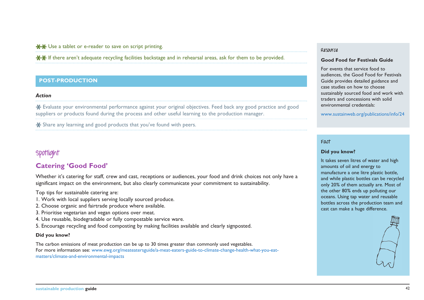#### $*$  **₩** Use a tablet or e-reader to save on script printing.

**XX** If there aren't adequate recycling facilities backstage and in rehearsal areas, ask for them to be provided.

#### **POST-PRODUCTION**

#### *Action*

Evaluate your environmental performance against your original objectives. Feed back any good practice and good suppliers or products found during the process and other useful learning to the production manager.

\* Share any learning and good products that you've found with peers.

# **Spotlight**

### **Catering 'Good Food'**

Whether it's catering for staff, crew and cast, receptions or audiences, your food and drink choices not only have a significant impact on the environment, but also clearly communicate your commitment to sustainability.

Top tips for sustainable catering are:

- 1. Work with local suppliers serving locally sourced produce.
- 2. Choose organic and fairtrade produce where available.
- 3. Prioritise vegetarian and vegan options over meat.
- 4. Use reusable, biodegradable or fully compostable service ware.
- 5. Encourage recycling and food composting by making facilities available and clearly signposted.

#### **Did you know?**

The carbon emissions of meat production can be up to 30 times greater than commonly used vegetables. For more information see: [www.ewg.org/meateatersguide/a-meat-eaters-guide-to-climate-change-health-what-you-eat](www.ewg.org/meateatersguide/a-meat-eaters-guide-to-climate-change-health-what-you-eat-matters/climate-and-environmental-impacts)[matters/climate-and-environmental-impacts](www.ewg.org/meateatersguide/a-meat-eaters-guide-to-climate-change-health-what-you-eat-matters/climate-and-environmental-impacts)

#### **Resource**

#### **Good Food for Festivals Guide**

For events that service food to audiences, the Good Food for Festivals Guide provides detailed guidance and case studies on how to choose sustainably sourced food and work with traders and concessions with solid environmental credentials:

<www.sustainweb.org/publications/info/24>

#### **Fact**

#### **Did you know?**

It takes seven litres of water and high amounts of oil and energy to manufacture a one litre plastic bottle, and while plastic bottles can be recycled only 20% of them actually are. Most of the other 80% ends up polluting our oceans. Using tap water and reusable bottles across the production team and cast can make a huge difference.

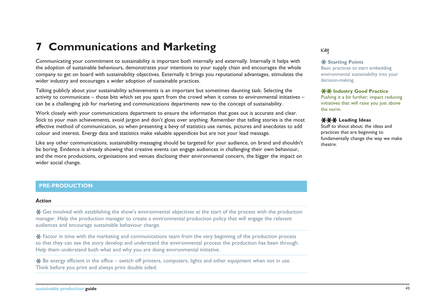# **7 Communications and Marketing**

Communicating your commitment to sustainability is important both internally and externally. Internally it helps with the adoption of sustainable behaviours, demonstrates your intentions to your supply chain and encourages the whole company to get on board with sustainability objectives. Externally it brings you reputational advantages, stimulates the wider industry and encourages a wider adoption of sustainable practices.

Talking publicly about your sustainability achievements is an important but sometimes daunting task. Selecting the activity to communicate – those bits which set you apart from the crowd when it comes to environmental initiatives – can be a challenging job for marketing and communications departments new to the concept of sustainability.

Work closely with your communications department to ensure the information that goes out is accurate and clear. Stick to your main achievements, avoid jargon and don't gloss over anything. Remember that telling stories is the most effective method of communication, so when presenting a bevy of statistics use names, pictures and anecdotes to add colour and interest. Energy data and statistics make valuable appendices but are not your lead message.

Like any other communications, sustainability messaging should be targeted for your audience, on brand and shouldn't be boring. Evidence is already showing that creative events can engage audiences in challenging their own behaviour, and the more productions, organisations and venues disclosing their environmental concern, the bigger the impact on wider social change.

#### **PRE-PRODUCTION**

#### *Action*

Get involved with establishing the show's environmental objectives at the start of the process with the production manager. Help the production manager to create a environmental production policy that will engage the relevant audiences and encourage sustainable behaviour change.

Factor in time with the marketing and communications team from the very beginning of the production process so that they can see the story develop and understand the environmental process the production has been through. Help them understand both what and why you are doing environmental initiative.

 $\bigstar$  Be energy efficient in the office – switch off printers, computers, lights and other equipment when not in use. Think before you print and always print double sided.

#### **Key**

#### **X** Starting Points

Basic practices to start embedding environmental sustainability into your decision-making.

#### **XX Industry Good Practice**

Pushing it a bit further; impact reducing initiatives that will raise you just above the norm.

#### **XXX Leading Ideas**

Stuff to shout about; the ideas and practices that are beginning to fundamentally change the way we make theatre.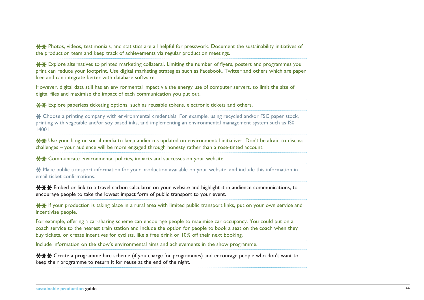$**$  Photos, videos, testimonials, and statistics are all helpful for presswork. Document the sustainability initiatives of the production team and keep track of achievements via regular production meetings.

 $*$  $*$  Explore alternatives to printed marketing collateral. Limiting the number of flyers, posters and programmes you print can reduce your footprint. Use digital marketing strategies such as Facebook, Twitter and others which are paper free and can integrate better with database software.

However, digital data still has an environmental impact via the energy use of computer servers, so limit the size of digital files and maximise the impact of each communication you put out.

 $**$  Explore paperless ticketing options, such as reusable tokens, electronic tickets and others.

Choose a printing company with environmental credentials. For example, using recycled and/or FSC paper stock, printing with vegetable and/or soy based inks, and implementing an environmental management system such as IS0 14001.

Use your blog or social media to keep audiences updated on environmental initiatives. Don't be afraid to discuss challenges – your audience will be more engaged through honesty rather than a rose-tinted account.

**\*\*** Communicate environmental policies, impacts and successes on your website.

**X** Make public transport information for your production available on your website, and include this information in email ticket confirmations.

 $*$  $*$  Embed or link to a travel carbon calculator on your website and highlight it in audience communications, to encourage people to take the lowest impact form of public transport to your event.

<del>XX</del> If your production is taking place in a rural area with limited public transport links, put on your own service and incentivise people.

For example, offering a car-sharing scheme can encourage people to maximise car occupancy. You could put on a coach service to the nearest train station and include the option for people to book a seat on the coach when they buy tickets, or create incentives for cyclists, like a free drink or 10% off their next booking.

Include information on the show's environmental aims and achievements in the show programme.

**\*\*\*** Create a programme hire scheme (if you charge for programmes) and encourage people who don't want to keep their programme to return it for reuse at the end of the night.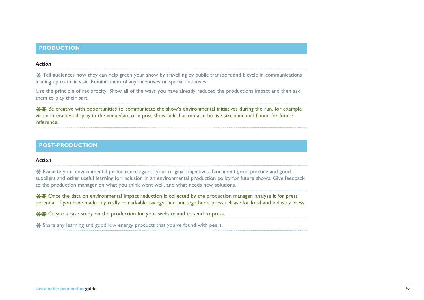#### **PRODUCTION**

#### *Action*

 $\angle$  **Tell audiences how they can help green your show by travelling by public transport and bicycle in communications** leading up to their visit. Remind them of any incentives or special initiatives.

Use the principle of reciprocity. Show all of the ways you have already reduced the productions impact and then ask them to play their part.

 $*$  **<del>X</del>** Be creative with opportunities to communicate the show's environmental initiatives during the run, for example via an interactive display in the venue/site or a post-show talk that can also be live streamed and filmed for future reference.

#### **POST-PRODUCTION**

#### *Action*

Evaluate your environmental performance against your original objectives. Document good practice and good suppliers and other useful learning for inclusion in an environmental production policy for future shows. Give feedback to the production manager on what you think went well, and what needs new solutions.

<del>XX</del> Once the data on environmental impact reduction is collected by the production manager, analyse it for press potential. If you have made any really remarkable savings then put together a press release for local and industry press.

Create a case study on the production for your website and to send to press.

\* Share any learning and good low energy products that you've found with peers.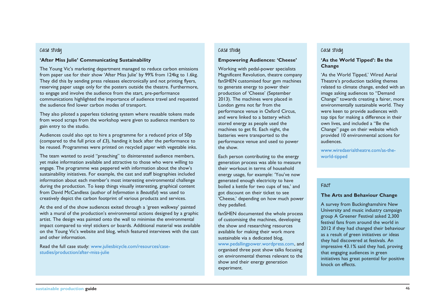#### **Case study**

#### **'After Miss Julie' Communicating Sustainability**

The Young Vic's marketing department managed to reduce carbon emissions from paper use for their show 'After Miss Julie' by 99% from 124kg to 1.6kg. They did this by sending press releases electronically and not printing flyers, reserving paper usage only for the posters outside the theatre. Furthermore, to engage and involve the audience from the start, pre-performance communications highlighted the importance of audience travel and requested the audience find lower carbon modes of transport.

They also piloted a paperless ticketing system where reusable tokens made from wood scraps from the workshop were given to audience members to gain entry to the studio.

Audiences could also opt to hire a programme for a reduced price of 50p (compared to the full price of £3), handing it back after the performance to be reused. Programmes were printed on recycled paper with vegetable inks.

The team wanted to avoid "preaching" to disinterested audience members, yet make information available and attractive to those who were willing to engage. The programme was peppered with information about the show's sustainability initiatives. For example, the cast and staff biographies included information about each member's most interesting environmental challenge during the production. To keep things visually interesting, graphical content from David McCandless (author of *Information is Beautiful*) was used to creatively depict the carbon footprint of various products and services.

At the end of the show audiences exited through a 'green walkway' painted with a mural of the production's environmental actions designed by a graphic artist. The design was painted onto the wall to minimise the environmental impact compared to vinyl stickers or boards. Additional material was available on the Young Vic's website and blog, which featured interviews with the cast and other information.

Read the full case study: [www.juliesbicycle.com/resources/case](www.juliesbicycle.com/resources/case-studies/production/after-miss-julie)[studies/production/after-miss-julie](www.juliesbicycle.com/resources/case-studies/production/after-miss-julie)

#### **Case study**

#### **Empowering Audiences: 'Cheese'**

Working with pedal-power specialists Magnificent Revolution, theatre company fanSHEN customised four gym machines to generate energy to power their production of 'Cheese' (September 2013). The machines were placed in London gyms not far from the performance venue in Oxford Circus, and were linked to a battery which stored energy as people used the machines to get fit. Each night, the batteries were transported to the performance venue and used to power the show.

Each person contributing to the energy generation process was able to measure their workout in terms of household energy usage, for example: 'You've now generated enough electricity to have boiled a kettle for two cups of tea,' and got discount on their ticket to see 'Cheese,' depending on how much power they pedalled.

fanSHEN documented the whole process of customising the machines, developing the show and researching resources available for making their work more sustainable via a dedicated blog, [www.pedallingpower.wordpress.com,](www.pedallingpower.wordpress.com) and organised three post show talks focusing on environmental themes relevant to the show and their energy generation experiment.

#### **Case study**

#### **'As the World Tipped': Be the Change**

'As the World Tipped,' Wired Aerial Theatre's production tackling themes related to climate change, ended with an image asking audiences to "Demand Change" towards creating a fairer, more environmentally sustainable world. They were keen to provide audiences with top tips for making a difference in their own lives, and included a "Be the Change" page on their website which provided 10 environmental actions for audiences.

[www.wiredaerialtheatre.com/as-the](www.wiredaerialtheatre.com/as-the-world-tipped)[world-tipped](www.wiredaerialtheatre.com/as-the-world-tipped)

#### **Fact**

#### **The Arts and Behaviour Change**

A survey from Buckinghamshire New University and music industry campaign group A Greener Festival asked 2,300 festival fans from around the world in 2012 if they had changed their behaviour as a result of green initiatives or ideas they had discovered at festivals. An impressive 43.1% said they had, proving that engaging audiences in green initiatives has great potential for positive knock on effects.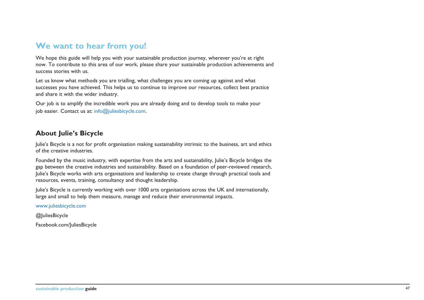# **We want to hear from you!**

We hope this guide will help you with your sustainable production journey, wherever you're at right now. To contribute to this area of our work, please share your sustainable production achievements and success stories with us.

Let us know what methods you are trialling, what challenges you are coming up against and what successes you have achieved. This helps us to continue to improve our resources, collect best practice and share it with the wider industry.

Our job is to amplify the incredible work you are already doing and to develop tools to make your job easier. Contact us at: info@juliesbicycle.com.

## **About Julie's Bicycle**

Julie's Bicycle is a not for profit organisation making sustainability intrinsic to the business, art and ethics of the creative industries.

Founded by the music industry, with expertise from the arts and sustainability, Julie's Bicycle bridges the gap between the creative industries and sustainability. Based on a foundation of peer-reviewed research, Julie's Bicycle works with arts organisations and leadership to create change through practical tools and resources, events, training, consultancy and thought leadership.

Julie's Bicycle is currently working with over 1000 arts organisations across the UK and internationally, large and small to help them measure, manage and reduce their environmental impacts.

www.juliesbicycle.com

@JuliesBicycle

Facebook.com/JuliesBicycle